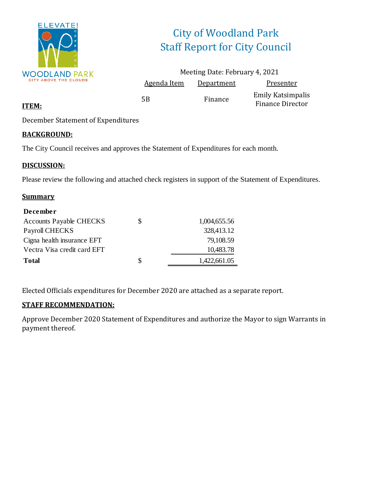

# City of Woodland Park Staff Report for City Council

|                    | Meeting Date: February 4, 2021 |                                                     |
|--------------------|--------------------------------|-----------------------------------------------------|
| <b>Agenda Item</b> | <b>Department</b>              | Presenter                                           |
| 5Β                 | Finance                        | <b>Emily Katsimpalis</b><br><b>Finance Director</b> |

### **ITEM:**

December Statement of Expenditures

### **BACKGROUND:**

The City Council receives and approves the Statement of Expenditures for each month.

### **DISCUSSION:**

Please review the following and attached check registers in support of the Statement of Expenditures.

### **Summary**

| <b>December</b>                |   |              |
|--------------------------------|---|--------------|
| <b>Accounts Payable CHECKS</b> | S | 1,004,655.56 |
| Payroll CHECKS                 |   | 328,413.12   |
| Cigna health insurance EFT     |   | 79,108.59    |
| Vectra Visa credit card EFT    |   | 10,483.78    |
| <b>Total</b>                   | S | 1,422,661.05 |

Elected Officials expenditures for December 2020 are attached as a separate report.

### **STAFF RECOMMENDATION:**

Approve December 2020 Statement of Expenditures and authorize the Mayor to sign Warrants in payment thereof.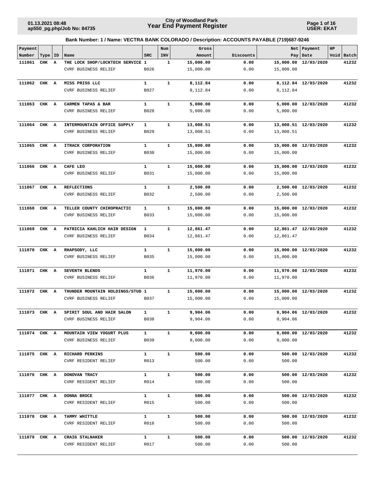**Page 1 of 16 USER: EKAT**

| Payment      |       |              |                                  |              | Num          | Gross                |              |           | Net   Payment        | $_{\rm HP}$ |            |
|--------------|-------|--------------|----------------------------------|--------------|--------------|----------------------|--------------|-----------|----------------------|-------------|------------|
| Number       | Type  | ID           | Name                             | <b>SRC</b>   | INV          | Amount               | Discounts    |           | Pay   Date           |             | Void Batch |
| 111061       | CHK   | Α            | THE LOCK SHOP/LOCKTECH SERVICE 1 |              | 1            | 15,000.00            | 0.00         | 15,000.00 | 12/03/2020           |             | 41232      |
|              |       |              | CVRF BUSINESS RELIEF             | B026         |              | 15,000.00            | 0.00         | 15,000.00 |                      |             |            |
| 111062       | CHK   | $\mathbf{A}$ | MISS PRISS LLC                   | $\mathbf{1}$ | $\mathbf{1}$ | 8,112.84             | 0.00         |           | 8,112.84 12/03/2020  |             | 41232      |
|              |       |              | CVRF BUSINESS RELIEF             | B027         |              | 8,112.84             | 0.00         | 8,112.84  |                      |             |            |
|              |       |              |                                  |              |              |                      |              |           |                      |             |            |
| 111063       | CHK A |              | CARMEN TAPAS & BAR               | $\mathbf{1}$ | $\mathbf{1}$ | 5,000.00             | 0.00         |           | 5,000.00 12/03/2020  |             | 41232      |
|              |       |              | <b>CVRF BUSINESS RELIEF</b>      | B028         |              | 5,000.00             | 0.00         | 5,000.00  |                      |             |            |
|              |       |              |                                  |              |              |                      |              |           |                      |             |            |
| 111064       | CHK   | A            | INTERMOUNTAIN OFFICE SUPPLY      | 1            | $\mathbf{1}$ | 13,008.51            | 0.00         |           | 13,008.51 12/03/2020 |             | 41232      |
|              |       |              | CVRF BUSINESS RELIEF             | B029         |              | 13,008.51            | 0.00         | 13,008.51 |                      |             |            |
|              |       |              |                                  |              |              |                      |              |           |                      |             |            |
| 111065       | CHK A |              | ITRACK CORPORATION               | $\mathbf{1}$ | $\mathbf{1}$ | 15,000.00            | 0.00         |           | 15,000.00 12/03/2020 |             | 41232      |
|              |       |              | CVRF BUSINESS RELIEF             | <b>B030</b>  |              | 15,000.00            | 0.00         | 15,000.00 |                      |             |            |
| 111066       | CHK A |              | CAFE LEO                         | $\mathbf{1}$ | $\mathbf{1}$ | 15,000.00            | 0.00         |           | 15,000.00 12/03/2020 |             | 41232      |
|              |       |              | CVRF BUSINESS RELIEF             | B031         |              | 15,000.00            | 0.00         | 15,000.00 |                      |             |            |
|              |       |              |                                  |              |              |                      |              |           |                      |             |            |
| 111067       | CHK   | $\mathbf{A}$ | <b>REFLECTIONS</b>               | $\mathbf{1}$ | $\mathbf{1}$ | 2,500.00             | 0.00         |           | 2,500.00 12/03/2020  |             | 41232      |
|              |       |              | CVRF BUSINESS RELIEF             | B032         |              | 2,500.00             | 0.00         | 2,500.00  |                      |             |            |
|              |       |              |                                  |              |              |                      |              |           |                      |             |            |
| 111068       | CHK A |              | TELLER COUNTY CHIROPRACTIC       | $\mathbf{1}$ | $\mathbf{1}$ | 15,000.00            | 0.00         |           | 15,000.00 12/03/2020 |             | 41232      |
|              |       |              | <b>CVRF BUSINESS RELIEF</b>      | B033         |              | 15,000.00            | 0.00         | 15,000.00 |                      |             |            |
|              |       |              |                                  |              |              |                      |              |           |                      |             |            |
| 111069       | CHK A |              | PATRICIA KAHLICH HAIR DESIGN     | $\mathbf{1}$ | $\mathbf{1}$ | 12,861.47            | 0.00         |           | 12,861.47 12/03/2020 |             | 41232      |
|              |       |              | CVRF BUSINESS RELIEF             | B034         |              | 12,861.47            | 0.00         | 12,861.47 |                      |             |            |
| 111070       | CHK A |              | RHAPSODY, LLC                    | $\mathbf{1}$ | $\mathbf{1}$ | 15,000.00            | 0.00         |           | 15,000.00 12/03/2020 |             | 41232      |
|              |       |              | CVRF BUSINESS RELIEF             | B035         |              | 15,000.00            | 0.00         | 15,000.00 |                      |             |            |
|              |       |              |                                  |              |              |                      |              |           |                      |             |            |
| 111071       | CHK A |              | SEVENTH BLENDS                   | $\mathbf{1}$ | $\mathbf{1}$ | 11,970.00            | 0.00         |           | 11,970.00 12/03/2020 |             | 41232      |
|              |       |              | CVRF BUSINESS RELIEF             | B036         |              | 11,970.00            | 0.00         | 11,970.00 |                      |             |            |
|              |       |              |                                  |              |              |                      |              |           |                      |             |            |
| 111072       | CHK A |              | THUNDER MOUNTAIN HOLDINGS/STUD 1 |              | $\mathbf{1}$ | 15,000.00            | 0.00         |           | 15,000.00 12/03/2020 |             | 41232      |
|              |       |              | <b>CVRF BUSINESS RELIEF</b>      | B037         |              | 15,000.00            | 0.00         | 15,000.00 |                      |             |            |
|              |       |              |                                  |              |              |                      |              |           |                      |             |            |
| 111073 CHK A |       |              | SPIRIT SOUL AND HAIR SALON       | 1<br>B038    | $\mathbf{1}$ | 9,904.06<br>9,904.06 | 0.00<br>0.00 |           | 9,904.06 12/03/2020  |             | 41232      |
|              |       |              | CVRF BUSINESS RELIEF             |              |              |                      |              | 9,904.06  |                      |             |            |
| 111074 CHK A |       |              | MOUNTAIN VIEW YOGURT PLUS        | $\mathbf{1}$ | $\mathbf{1}$ | 9,000.00             | 0.00         |           | 9,000.00 12/03/2020  |             | 41232      |
|              |       |              | CVRF BUSINESS RELIEF             | B039         |              | 9,000.00             | 0.00         | 9,000.00  |                      |             |            |
|              |       |              |                                  |              |              |                      |              |           |                      |             |            |
| 111075 CHK A |       |              | RICHARD PERKINS                  | $\mathbf{1}$ | $\mathbf{1}$ | 500.00               | 0.00         |           | 500.00 12/03/2020    |             | 41232      |
|              |       |              | CVRF RESIDENT RELIEF             | R013         |              | 500.00               | 0.00         | 500.00    |                      |             |            |
|              |       |              |                                  |              |              |                      |              |           |                      |             |            |
| 111076 CHK A |       |              | DONOVAN TRACY                    | $\mathbf{1}$ | $\mathbf{1}$ | 500.00               | 0.00         |           | 500.00 12/03/2020    |             | 41232      |
|              |       |              | CVRF RESIDENT RELIEF             | R014         |              | 500.00               | 0.00         | 500.00    |                      |             |            |
| 111077 CHK A |       |              | DONNA BROCE                      | $\mathbf{1}$ | $\mathbf{1}$ | 500.00               | 0.00         |           | 500.00 12/03/2020    |             | 41232      |
|              |       |              | CVRF RESIDENT RELIEF             | R015         |              | 500.00               | 0.00         | 500.00    |                      |             |            |
|              |       |              |                                  |              |              |                      |              |           |                      |             |            |
| 111078 CHK A |       |              | TAMMY WHITTLE                    | $\mathbf{1}$ | $\mathbf{1}$ | 500.00               | 0.00         |           | 500.00 12/03/2020    |             | 41232      |
|              |       |              | CVRF RESIDENT RELIEF             | R016         |              | 500.00               | 0.00         | 500.00    |                      |             |            |
|              |       |              |                                  |              |              |                      |              |           |                      |             |            |
| 111079 CHK A |       |              | CRAIG STALNAKER                  | $\mathbf{1}$ | $\mathbf{1}$ | 500.00               | 0.00         |           | 500.00 12/03/2020    |             | 41232      |
|              |       |              | CVRF RESIDENT RELIEF             | R017         |              | 500.00               | 0.00         | 500.00    |                      |             |            |
|              |       |              |                                  |              |              |                      |              |           |                      |             |            |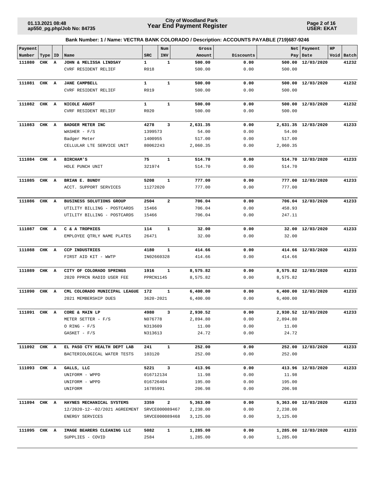**Page 2 of 16 USER: EKAT**

| Payment      |       |    |                                                            |               | Num            | Gross            |              |          | Net   Payment       | $_{\rm HP}$ |            |
|--------------|-------|----|------------------------------------------------------------|---------------|----------------|------------------|--------------|----------|---------------------|-------------|------------|
| Number       | Type  | ID | Name                                                       | <b>SRC</b>    | <b>INV</b>     | Amount           | Discounts    |          | Pay   Date          |             | Void Batch |
| 111080       | CHK   | Α  | JOHN & MELISSA LINDSAY                                     | 1             | 1              | 500.00           | 0.00         | 500.00   | 12/03/2020          |             | 41232      |
|              |       |    | CVRF RESIDENT RELIEF                                       | R018          |                | 500.00           | 0.00         | 500.00   |                     |             |            |
| 111081       | CHK A |    | <b>JANE CAMPBELL</b>                                       | $\mathbf{1}$  | $\mathbf{1}$   | 500.00           | 0.00         | 500.00   | 12/03/2020          |             | 41232      |
|              |       |    | CVRF RESIDENT RELIEF                                       | R019          |                | 500.00           | 0.00         | 500.00   |                     |             |            |
|              |       |    |                                                            |               |                |                  |              |          |                     |             |            |
| 111082       | CHK A |    | NICOLE AGUST                                               | $\mathbf{1}$  | $\mathbf{1}$   | 500.00           | 0.00         | 500.00   | 12/03/2020          |             | 41232      |
|              |       |    | CVRF RESIDENT RELIEF                                       | R020          |                | 500.00           | 0.00         | 500.00   |                     |             |            |
|              |       |    |                                                            |               |                |                  |              |          |                     |             |            |
| 111083       | CHK   | A  | <b>BADGER METER INC</b>                                    | 4278          | 3              | 2,631.35         | 0.00         |          | 2,631.35 12/03/2020 |             | 41233      |
|              |       |    | WASHER $-$ F/S                                             | 1399573       |                | 54.00            | 0.00         | 54.00    |                     |             |            |
|              |       |    | Badger Meter                                               | 1400955       |                | 517.00           | 0.00         | 517.00   |                     |             |            |
|              |       |    | CELLULAR LTE SERVICE UNIT                                  | 80062243      |                | 2,060.35         | 0.00         | 2,060.35 |                     |             |            |
|              |       |    |                                                            |               |                |                  |              |          |                     |             |            |
| 111084 CHK A |       |    | <b>BIRCHAM'S</b>                                           | 75            | $\mathbf{1}$   | 514.70           | 0.00         |          | 514.70 12/03/2020   |             | 41233      |
|              |       |    | HOLE PUNCH UNIT                                            | 321974        |                | 514.70           | 0.00         | 514.70   |                     |             |            |
| 111085 CHK A |       |    | BRIAN E. BUNDY                                             | 5208          | 1              | 777.00           | 0.00         |          | 777.00 12/03/2020   |             | 41233      |
|              |       |    | ACCT. SUPPORT SERVICES                                     | 11272020      |                | 777.00           | 0.00         | 777.00   |                     |             |            |
|              |       |    |                                                            |               |                |                  |              |          |                     |             |            |
| 111086       | CHK A |    | BUSINESS SOLUTIONS GROUP                                   | 2504          | $\overline{a}$ | 706.04           | 0.00         |          | 706.04 12/03/2020   |             | 41233      |
|              |       |    | UTILITY BILLING - POSTCARDS                                | 15466         |                | 706.04           | 0.00         | 458.93   |                     |             |            |
|              |       |    | UTILITY BILLING - POSTCARDS                                | 15466         |                | 706.04           | 0.00         | 247.11   |                     |             |            |
|              |       |    |                                                            |               |                |                  |              |          |                     |             |            |
| 111087 CHK A |       |    | C & A TROPHIES                                             | 114           | $\mathbf{1}$   | 32.00            | 0.00         |          | 32.00 12/03/2020    |             | 41233      |
|              |       |    | EMPLOYEE QTRLY NAME PLATES                                 | 26471         |                | 32.00            | 0.00         | 32.00    |                     |             |            |
| 111088       | CHK   | A  | <b>CCP INDUSTRIES</b>                                      | 4180          | 1              | 414.66           | 0.00         |          | 414.66 12/03/2020   |             | 41233      |
|              |       |    | FIRST AID KIT - WWTP                                       | IN02660328    |                | 414.66           | 0.00         | 414.66   |                     |             |            |
|              |       |    |                                                            |               |                |                  |              |          |                     |             |            |
| 111089       | CHK A |    | CITY OF COLORADO SPRINGS                                   | 1916          | $\mathbf{1}$   | 8,575.82         | 0.00         |          | 8,575.82 12/03/2020 |             | 41233      |
|              |       |    | 2020 PPRCN RADIO USER FEE                                  | PPRCN1145     |                | 8,575.82         | 0.00         | 8,575.82 |                     |             |            |
| 111090       | CHK A |    | CML COLORADO MUNICIPAL LEAGUE                              | 172           | 1              | 6,400.00         | 0.00         |          | 6,400.00 12/03/2020 |             | 41233      |
|              |       |    | 2021 MEMBERSHIP DUES                                       | 3620-2021     |                | 6,400.00         | 0.00         | 6,400.00 |                     |             |            |
|              |       |    |                                                            |               |                |                  |              |          |                     |             |            |
| 111091 CHK A |       |    | CORE & MAIN LP                                             | 4980          | 3              | 2,930.52         | 0.00         |          | 2,930.52 12/03/2020 |             | 41233      |
|              |       |    | METER SETTER - F/S                                         | N076778       |                | 2,894.80         | 0.00         | 2,894.80 |                     |             |            |
|              |       |    | $O RING - F/S$                                             | N313609       |                | 11.00            | 0.00         | 11.00    |                     |             |            |
|              |       |    | $GASKET - F/S$                                             | N313613       |                | 24.72            | 0.00         | 24.72    |                     |             |            |
| 111092 CHK A |       |    |                                                            |               | $\mathbf{1}$   |                  |              |          |                     |             |            |
|              |       |    | EL PASO CTY HEALTH DEPT LAB<br>BACTERIOLOGICAL WATER TESTS | 241<br>103120 |                | 252.00<br>252.00 | 0.00<br>0.00 | 252.00   | 252.00 12/03/2020   |             | 41233      |
|              |       |    |                                                            |               |                |                  |              |          |                     |             |            |
| 111093 CHK A |       |    | GALLS, LLC                                                 | 5221          | $\mathbf{3}$   | 413.96           | 0.00         |          | 413.96 12/03/2020   |             | 41233      |
|              |       |    | UNIFORM - WPPD                                             | 016712134     |                | 11.98            | 0.00         | 11.98    |                     |             |            |
|              |       |    | UNIFORM - WPPD                                             | 016726404     |                | 195.00           | 0.00         | 195.00   |                     |             |            |
|              |       |    | UNIFORM                                                    | 16785991      |                | 206.98           | 0.00         | 206.98   |                     |             |            |
| 111094 CHK A |       |    | HAYNES MECHANICAL SYSTEMS                                  | 3359          | $\mathbf{2}$   | 5,363.00         | 0.00         |          | 5,363.00 12/03/2020 |             | 41233      |
|              |       |    | 12/2020-12--02/2021 AGREEMENT                              |               | SRVCE000089467 | 2,238.00         | 0.00         | 2,238.00 |                     |             |            |
|              |       |    | ENERGY SERVICES                                            |               | SRVCE000089468 | 3,125.00         | 0.00         | 3,125.00 |                     |             |            |
|              |       |    |                                                            |               |                |                  |              |          |                     |             |            |
| 111095 CHK A |       |    | IMAGE BEARERS CLEANING LLC                                 | 5082          | 1              | 1,285.00         | 0.00         |          | 1,285.00 12/03/2020 |             | 41233      |
|              |       |    | SUPPLIES - COVID                                           | 2584          |                | 1,285.00         | 0.00         | 1,285.00 |                     |             |            |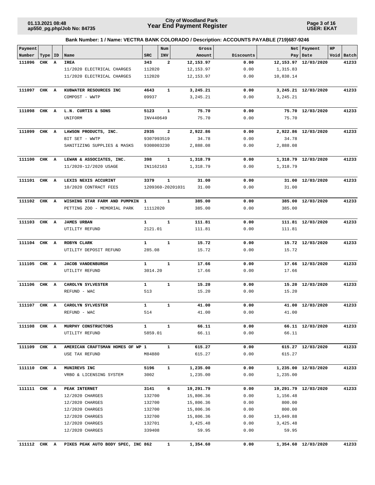**Page 3 of 16 USER: EKAT**

| Payment      |       |    |                                    |              | Num          | Gross                     |           |            | Net Payment           | HP |            |
|--------------|-------|----|------------------------------------|--------------|--------------|---------------------------|-----------|------------|-----------------------|----|------------|
| Number       | Type  | ID | Name                               | <b>SRC</b>   | INV          | Amount                    | Discounts |            | Pay   Date            |    | Void Batch |
| 111096       | CHK A |    | IREA                               | 343          | 2            | 12,153.97                 | 0.00      |            | 12, 153.97 12/03/2020 |    | 41233      |
|              |       |    | 11/2020 ELECTRICAL CHARGES         | 112020       |              | 12,153.97                 | 0.00      | 1,315.83   |                       |    |            |
|              |       |    | 11/2020 ELECTRICAL CHARGES         | 112020       |              | 12, 153.97                | 0.00      | 10,838.14  |                       |    |            |
|              |       |    |                                    |              |              |                           |           |            |                       |    |            |
| 111097 CHK A |       |    | KUBWATER RESOURCES INC             | 4643         | $\mathbf{1}$ | 3,245.21                  | 0.00      |            | 3,245.21 12/03/2020   |    | 41233      |
|              |       |    | COMPOST - WWTP                     | 09937        |              | 3,245.21                  | 0.00      | 3, 245. 21 |                       |    |            |
| 111098       | CHK A |    | L.N. CURTIS & SONS                 | 5123         | $\mathbf{1}$ | 75.70                     | 0.00      |            | 75.70 12/03/2020      |    | 41233      |
|              |       |    | UNIFORM                            | INV440649    |              | 75.70                     | 0.00      | 75.70      |                       |    |            |
| 111099       | CHK A |    | LAWSON PRODUCTS, INC.              | 2935         | 2            | 2,922.86                  | 0.00      |            | 2,922.86 12/03/2020   |    | 41233      |
|              |       |    | BIT SET - WWTP                     | 9307993519   |              | 34.78                     | 0.00      | 34.78      |                       |    |            |
|              |       |    | SANITIZING SUPPLIES & MASKS        | 9308003230   |              | 2,888.08                  | 0.00      | 2,888.08   |                       |    |            |
|              |       |    |                                    |              |              |                           |           |            |                       |    |            |
| 111100       | CHK A |    | LEWAN & ASSOCIATES, INC.           | 398          | $\mathbf{1}$ | 1,318.79                  | 0.00      |            | 1,318.79 12/03/2020   |    | 41233      |
|              |       |    | 11/2020-12/2020 USAGE              | IN1162163    |              | 1,318.79                  | 0.00      | 1,318.79   |                       |    |            |
| 111101 CHK A |       |    | LEXIS NEXIS ACCURINT               | 3379         | $\mathbf{1}$ | 31.00                     | 0.00      |            | 31.00 12/03/2020      |    | 41233      |
|              |       |    | 10/2020 CONTRACT FEES              |              |              | 1209360-20201031<br>31.00 | 0.00      | 31.00      |                       |    |            |
|              |       |    |                                    |              |              |                           |           |            |                       |    |            |
| 111102 CHK A |       |    | WISHING STAR FARM AND PUMPKIN      | 1            | 1            | 385.00                    | 0.00      |            | 385.00 12/03/2020     |    | 41233      |
|              |       |    | PETTING ZOO - MEMORIAL PARK        | 11112020     |              | 385.00                    | 0.00      | 385.00     |                       |    |            |
| 111103 CHK A |       |    | <b>JAMES URBAN</b>                 | $\mathbf{1}$ | $\mathbf{1}$ | 111.81                    | 0.00      |            | 111.81 12/03/2020     |    | 41233      |
|              |       |    | UTILITY REFUND                     | 2121.01      |              | 111.81                    | 0.00      | 111.81     |                       |    |            |
|              |       |    |                                    |              |              |                           |           |            |                       |    |            |
| 111104 CHK A |       |    | ROBYN CLARK                        | $\mathbf{1}$ | $\mathbf{1}$ | 15.72                     | 0.00      |            | 15.72 12/03/2020      |    | 41233      |
|              |       |    | UTILITY DEPOSIT REFUND             | 285.08       |              | 15.72                     | 0.00      | 15.72      |                       |    |            |
|              |       |    |                                    |              |              |                           |           |            |                       |    |            |
| 111105       | CHK A |    | <b>JACOB VANDENBURGH</b>           | $\mathbf{1}$ | $\mathbf{1}$ | 17.66                     | 0.00      |            | 17.66 12/03/2020      |    | 41233      |
|              |       |    | UTILITY REFUND                     | 3014.20      |              | 17.66                     | 0.00      | 17.66      |                       |    |            |
| 111106       | CHK A |    | CAROLYN SYLVESTER                  | $\mathbf{1}$ | $\mathbf{1}$ | 15.20                     | 0.00      |            | 15.20 12/03/2020      |    | 41233      |
|              |       |    | REFUND - WAC                       | 513          |              | 15.20                     | 0.00      | 15.20      |                       |    |            |
|              |       |    |                                    |              |              |                           |           |            |                       |    |            |
| 111107       | CHK A |    | CAROLYN SYLVESTER                  | $\mathbf{1}$ | $\mathbf{1}$ | 41.00                     | 0.00      |            | 41.00 12/03/2020      |    | 41233      |
|              |       |    | REFUND - WAC                       | 514          |              | 41.00                     | 0.00      | 41.00      |                       |    |            |
| 111108       | CHK A |    | MURPHY CONSTRUCTORS                | $\mathbf{1}$ | 1            | 66.11                     | 0.00      |            | 66.11 12/03/2020      |    | 41233      |
|              |       |    | UTILITY REFUND                     | 5859.01      |              | 66.11                     | 0.00      | 66.11      |                       |    |            |
|              |       |    |                                    |              |              |                           |           |            |                       |    |            |
| 111109 CHK A |       |    | AMERICAN CRAFTSMAN HOMES OF WP 1   |              | $\mathbf{1}$ | 615.27                    | 0.00      |            | 615.27 12/03/2020     |    | 41233      |
|              |       |    | USE TAX REFUND                     | M84880       |              | 615.27                    | 0.00      | 615.27     |                       |    |            |
| 111110 CHK A |       |    | MUNIREVS INC                       | 5196         | $\mathbf{1}$ | 1,235.00                  | 0.00      |            | 1,235.00 12/03/2020   |    | 41233      |
|              |       |    | VRBO & LICENSING SYSTEM            | 3002         |              | 1,235.00                  | 0.00      | 1,235.00   |                       |    |            |
|              |       |    |                                    |              |              |                           |           |            |                       |    |            |
| 111111 CHK A |       |    | PEAK INTERNET                      | 3141         | 6            | 19,291.79                 | 0.00      |            | 19,291.79 12/03/2020  |    | 41233      |
|              |       |    | 12/2020 CHARGES                    | 132700       |              | 15,806.36                 | 0.00      | 1,156.48   |                       |    |            |
|              |       |    | 12/2020 CHARGES                    | 132700       |              | 15,806.36                 | 0.00      | 800.00     |                       |    |            |
|              |       |    | 12/2020 CHARGES                    | 132700       |              | 15,806.36                 | 0.00      | 800.00     |                       |    |            |
|              |       |    | 12/2020 CHARGES                    | 132700       |              | 15,806.36                 | 0.00      | 13,049.88  |                       |    |            |
|              |       |    | 12/2020 CHARGES                    | 132701       |              | 3,425.48                  | 0.00      | 3,425.48   |                       |    |            |
|              |       |    | 12/2020 CHARGES                    | 339408       |              | 59.95                     | 0.00      | 59.95      |                       |    |            |
|              |       |    |                                    |              |              |                           |           |            |                       |    |            |
| 111112       | CHK A |    | PIKES PEAK AUTO BODY SPEC, INC 862 |              | 1            | 1,354.60                  | 0.00      |            | 1,354.60 12/03/2020   |    | 41233      |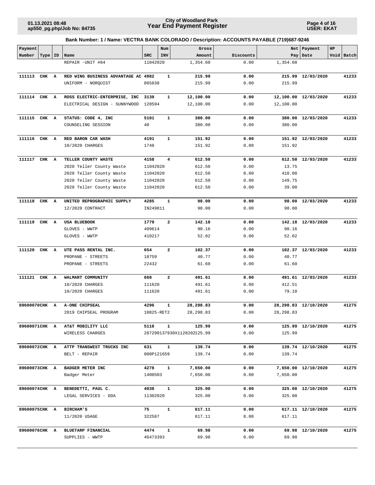**Page 4 of 16 USER: EKAT**

| Payment       |       |                         |                                     |            | Num            | Gross                      |           |            | Net   Payment         | HP |            |
|---------------|-------|-------------------------|-------------------------------------|------------|----------------|----------------------------|-----------|------------|-----------------------|----|------------|
| Number        | Type  | ID                      | Name                                | <b>SRC</b> | INV            | Amount                     | Discounts |            | Pay   Date            |    | Void Batch |
|               |       |                         | REPAIR -UNIT #64                    | 11042020   |                | 1,354.60                   | 0.00      | 1,354.60   |                       |    |            |
| 111113 CHK    |       | $\overline{\mathbf{A}}$ | RED WING BUSINESS ADVANTAGE AC 4982 |            | $\mathbf{1}$   | 215.99                     | 0.00      |            | 215.99 12/03/2020     |    | 41233      |
|               |       |                         | UNIFORM - NORQUIST                  | 865838     |                | 215.99                     | 0.00      | 215.99     |                       |    |            |
| 111114 CHK A  |       |                         | ROSS ELECTRIC-ENTERPRISE, INC       | 3139       | 1              | 12,100.00                  | 0.00      |            | 12,100.00 12/03/2020  |    | 41233      |
|               |       |                         | ELECTRICAL DESIGN - SUNNYWOOD       | 120594     |                | 12,100.00                  | 0.00      | 12,100.00  |                       |    |            |
| 111115        | CHK A |                         | STATUS: CODE 4, INC                 | 5101       | $\mathbf{1}$   | 380.00                     | 0.00      |            | 380.00 12/03/2020     |    | 41233      |
|               |       |                         |                                     |            |                |                            |           |            |                       |    |            |
|               |       |                         | COUNSELING SESSION                  | 40         |                | 380.00                     | 0.00      | 380.00     |                       |    |            |
| 111116        | CHK   | A                       | RED BARON CAR WASH                  | 4191       | $\mathbf{1}$   | 151.92                     | 0.00      |            | 151.92 12/03/2020     |    | 41233      |
|               |       |                         | 10/2020 CHARGES                     | 1748       |                | 151.92                     | 0.00      | 151.92     |                       |    |            |
| 111117        | CHK A |                         | TELLER COUNTY WASTE                 | 4158       | 4              | 612.50                     | 0.00      |            | 612.50 12/03/2020     |    | 41233      |
|               |       |                         | 2020 Teller County Waste            | 11042020   |                | 612.50                     | 0.00      | 13.75      |                       |    |            |
|               |       |                         | 2020 Teller County Waste            | 11042020   |                | 612.50                     | 0.00      | 410.00     |                       |    |            |
|               |       |                         | 2020 Teller County Waste            | 11042020   |                | 612.50                     | 0.00      | 149.75     |                       |    |            |
|               |       |                         | 2020 Teller County Waste            | 11042020   |                | 612.50                     | 0.00      | 39.00      |                       |    |            |
|               |       |                         |                                     |            |                |                            |           |            |                       |    |            |
| 111118        | CHK   | A                       | UNITED REPROGRAPHIC SUPPLY          | 4285       | $\mathbf{1}$   | 98.00                      | 0.00      | 98.00      | 12/03/2020            |    | 41233      |
|               |       |                         | 12/2020 CONTRACT                    | IN249811   |                | 98.00                      | 0.00      | 98.00      |                       |    |            |
| 111119        | CHK A |                         | <b>USA BLUEBOOK</b>                 | 1779       | 2              | 142.18                     | 0.00      |            | 142.18 12/03/2020     |    | 41233      |
|               |       |                         | GLOVES - WWTP                       | 409614     |                | 90.16                      | 0.00      | 90.16      |                       |    |            |
|               |       |                         | GLOVES - WWTP                       | 410217     |                | 52.02                      | 0.00      | 52.02      |                       |    |            |
| 111120        | CHK   | A                       | UTE PASS RENTAL INC.                | 654        | $\overline{a}$ | 102.37                     | 0.00      |            | 102.37 12/03/2020     |    | 41233      |
|               |       |                         | PROPANE - STREETS                   | 18759      |                | 40.77                      | 0.00      | 40.77      |                       |    |            |
|               |       |                         | PROPANE - STREETS                   | 22432      |                | 61.60                      | 0.00      | 61.60      |                       |    |            |
|               |       |                         |                                     |            |                |                            |           |            |                       |    |            |
| 111121        | CHK A |                         | WALMART COMMUNITY                   | 668        | $\mathbf{2}$   | 491.61                     | 0.00      |            | 491.61 12/03/2020     |    | 41233      |
|               |       |                         | 10/2020 CHARGES                     | 111620     |                | 491.61                     | 0.00      | 412.51     |                       |    |            |
|               |       |                         | 10/2020 CHARGES                     | 111620     |                | 491.61                     | 0.00      | 79.10      |                       |    |            |
| 89600070CHK A |       |                         | <b>A-ONE CHIPSEAL</b>               | 4296       | 1              | 28,298.83                  | 0.00      |            | 28, 298.83 12/10/2020 |    | 41275      |
|               |       |                         | 2019 CHIPSEAL PROGRAM               | 10825-RET2 |                | 28, 298.83                 | 0.00      | 28, 298.83 |                       |    |            |
| 89600071CHK A |       |                         | AT&T MOBILITY LLC                   | 5118       | $\mathbf{1}$   | 125.99                     | 0.00      |            | 125.99 12/10/2020     |    | 41275      |
|               |       |                         | WIRELESS CHARGES                    |            |                | 287290137930X1128202125.99 | 0.00      | 125.99     |                       |    |            |
|               |       |                         |                                     |            |                |                            |           |            |                       |    |            |
| 89600072CHK A |       |                         | ATTP TRANSWEST TRUCKS INC           | 631        | $\mathbf{1}$   | 139.74                     | 0.00      |            | 139.74 12/10/2020     |    | 41275      |
|               |       |                         | BELT - REPAIR                       | 008P121659 |                | 139.74                     | 0.00      | 139.74     |                       |    |            |
| 89600073CHK A |       |                         | BADGER METER INC                    | 4278       | $\mathbf{1}$   | 7,650.00                   | 0.00      |            | 7,650.00 12/10/2020   |    | 41275      |
|               |       |                         | Badger Meter                        | 1400503    |                | 7,650.00                   | 0.00      | 7,650.00   |                       |    |            |
| 89600074CHK A |       |                         | BENEDETTI, PAUL C.                  | 4038       | $\mathbf{1}$   | 325.00                     | 0.00      |            | 325.00 12/10/2020     |    | 41275      |
|               |       |                         | LEGAL SERVICES - DDA                | 11302020   |                | 325.00                     | 0.00      | 325.00     |                       |    |            |
| 89600075CHK A |       |                         | <b>BIRCHAM'S</b>                    | 75         | $\mathbf{1}$   | 617.11                     | 0.00      |            | 617.11 12/10/2020     |    | 41275      |
|               |       |                         | 11/2020 USAGE                       | 322587     |                | 617.11                     | 0.00      | 617.11     |                       |    |            |
|               |       |                         |                                     |            |                |                            |           |            |                       |    |            |
| 89600076CHK A |       |                         | BLUETARP FINANCIAL                  | 4474       | $\mathbf{1}$   | 69.98                      | 0.00      |            | 69.98 12/10/2020      |    | 41275      |
|               |       |                         | SUPPLIES - WWTP                     | 46473393   |                | 69.98                      | 0.00      | 69.98      |                       |    |            |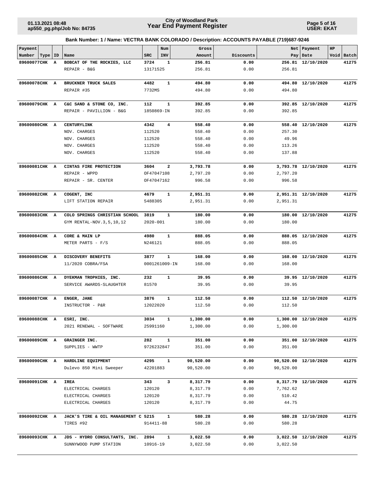**Page 5 of 16 USER: EKAT**

| Payment        |    |                                     |              | Num           | Gross     |           |           | Net   Payment        | HP |            |
|----------------|----|-------------------------------------|--------------|---------------|-----------|-----------|-----------|----------------------|----|------------|
| Number<br>Type | ID | Name                                | <b>SRC</b>   | <b>INV</b>    | Amount    | Discounts |           | Pay   Date           |    | Void Batch |
| 89600077CHK    | A  | BOBCAT OF THE ROCKIES, LLC          | 3724         | 1             | 256.81    | 0.00      |           | 256.81 12/10/2020    |    | 41275      |
|                |    | REPAIR - B&G                        | 13171525     |               | 256.81    | 0.00      | 256.81    |                      |    |            |
| 89600078CHK A  |    | BRUCKNER TRUCK SALES                | 4482         | $\mathbf{1}$  | 494.80    | 0.00      |           | 494.80 12/10/2020    |    | 41275      |
|                |    | REPAIR #35                          | 7732MS       |               | 494.80    | 0.00      | 494.80    |                      |    |            |
| 89600079CHK A  |    | C&C SAND & STONE CO, INC.           | 112          | $\mathbf{1}$  | 392.85    | 0.00      |           | 392.85 12/10/2020    |    | 41275      |
|                |    | REPAIR - PAVILLION - B&G            | 1850869-IN   |               | 392.85    | 0.00      | 392.85    |                      |    |            |
| 89600080CHK A  |    | CENTURYLINK                         | 4342         | 4             | 558.40    | 0.00      |           | 558.40 12/10/2020    |    | 41275      |
|                |    | NOV. CHARGES                        | 112520       |               | 558.40    | 0.00      | 257.30    |                      |    |            |
|                |    | NOV. CHARGES                        | 112520       |               | 558.40    | 0.00      | 49.96     |                      |    |            |
|                |    | NOV. CHARGES                        | 112520       |               | 558.40    | 0.00      | 113.26    |                      |    |            |
|                |    | NOV. CHARGES                        | 112520       |               | 558.40    | 0.00      | 137.88    |                      |    |            |
| 89600081CHK A  |    | CINTAS FIRE PROTECTION              | 3604         | 2             | 3,793.78  | 0.00      |           | 3,793.78 12/10/2020  |    | 41275      |
|                |    | REPAIR - WPPD                       | OF47047108   |               | 2,797.20  | 0.00      | 2,797.20  |                      |    |            |
|                |    | REPAIR - SR. CENTER                 | OF47047162   |               | 996.58    | 0.00      | 996.58    |                      |    |            |
| 89600082CHK A  |    | COGENT, INC                         | 4679         | $\mathbf{1}$  | 2,951.31  | 0.00      |           | 2,951.31 12/10/2020  |    | 41275      |
|                |    | LIFT STATION REPAIR                 | 5488305      |               | 2,951.31  | 0.00      | 2,951.31  |                      |    |            |
| 89600083CHK A  |    | COLO SPRINGS CHRISTIAN SCHOOL       | 3819         | $\mathbf{1}$  | 180.00    | 0.00      |           | 180.00 12/10/2020    |    | 41275      |
|                |    | GYM RENTAL-NOV. 3, 5, 10, 12        | $2020 - 001$ |               | 180.00    | 0.00      | 180.00    |                      |    |            |
| 89600084CHK A  |    | CORE & MAIN LP                      | 4980         | 1             | 888.05    | 0.00      |           | 888.05 12/10/2020    |    | 41275      |
|                |    | METER PARTS - F/S                   | N246121      |               | 888.05    | 0.00      | 888.05    |                      |    |            |
| 89600085CHK A  |    | DISCOVERY BENEFITS                  | 3877         | $\mathbf{1}$  | 168.00    | 0.00      |           | 168.00 12/10/2020    |    | 41275      |
|                |    | 11/2020 COBRA/FSA                   |              | 0001261009-IN | 168.00    | 0.00      | 168.00    |                      |    |            |
| 89600086CHK A  |    | DYEKMAN TROPHIES, INC.              | 232          | $\mathbf{1}$  | 39.95     | 0.00      |           | 39.95 12/10/2020     |    | 41275      |
|                |    | SERVICE AWARDS-SLAUGHTER            | 81570        |               | 39.95     | 0.00      | 39.95     |                      |    |            |
| 89600087CHK A  |    | ENGER, JANE                         | 3876         | 1             | 112.50    | 0.00      |           | 112.50 12/10/2020    |    | 41275      |
|                |    | INSTRUCTOR - P&R                    | 12022020     |               | 112.50    | 0.00      | 112.50    |                      |    |            |
| 89600088CHK A  |    | ESRI, INC.                          | 3034         |               | 1,300.00  | 0.00      |           | 1,300.00 12/10/2020  |    | 41275      |
|                |    | 2021 RENEWAL - SOFTWARE             | 25991160     |               | 1,300.00  | 0.00      | 1,300.00  |                      |    |            |
| 89600089CHK A  |    | GRAINGER INC.                       | 282          | $\mathbf{1}$  | 351.00    | 0.00      |           | 351.00 12/10/2020    |    | 41275      |
|                |    | SUPPLIES - WWTP                     |              | 9726232847    | 351.00    | 0.00      | 351.00    |                      |    |            |
| 89600090CHK A  |    | HARDLINE EQUIPMENT                  | 4295         | 1             | 90,520.00 | 0.00      |           | 90,520.00 12/10/2020 |    | 41275      |
|                |    | Dulevo 850 Mini Sweeper             | 42201883     |               | 90,520.00 | 0.00      | 90,520.00 |                      |    |            |
| 89600091CHK A  |    | <b>IREA</b>                         | 343          | 3             | 8,317.79  | 0.00      |           | 8,317.79 12/10/2020  |    | 41275      |
|                |    | ELECTRICAL CHARGES                  | 120120       |               | 8,317.79  | 0.00      | 7,762.62  |                      |    |            |
|                |    | ELECTRICAL CHARGES                  | 120120       |               | 8,317.79  | 0.00      | 510.42    |                      |    |            |
|                |    | ELECTRICAL CHARGES                  | 120120       |               | 8,317.79  | 0.00      | 44.75     |                      |    |            |
| 89600092CHK A  |    | JACK'S TIRE & OIL MANAGEMENT C 5215 |              | 1             | 580.28    | 0.00      |           | 580.28 12/10/2020    |    | 41275      |
|                |    | TIRES #92                           | 914411-88    |               | 580.28    | 0.00      | 580.28    |                      |    |            |
| 89600093CHK A  |    | JDS - HYDRO CONSULTANTS, INC.       | 2894         | 1             | 3,022.50  | 0.00      |           | 3,022.50 12/10/2020  |    | 41275      |
|                |    | SUNNYWOOD PUMP STATION              | 10916-19     |               | 3,022.50  | 0.00      | 3,022.50  |                      |    |            |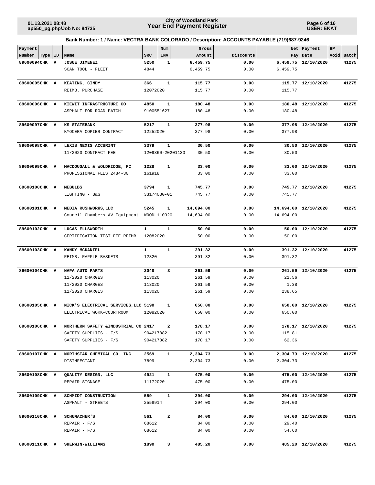**Page 6 of 16 USER: EKAT**

| Payment       |           |   |                                      |              | Num              | Gross     |           |           | Net   Payment        | HP |            |
|---------------|-----------|---|--------------------------------------|--------------|------------------|-----------|-----------|-----------|----------------------|----|------------|
| Number        | Type   ID |   | Name                                 | <b>SRC</b>   | INV              | Amount    | Discounts | Pay       | Date                 |    | Void Batch |
| 89600094CHK   |           | A | <b>JOSUE JIMENEZ</b>                 | 5250         | 1                | 6,459.75  | 0.00      |           | 6,459.75 12/10/2020  |    | 41275      |
|               |           |   | SCAN TOOL - FLEET                    | 4844         |                  | 6,459.75  | 0.00      | 6,459.75  |                      |    |            |
| 89600095CHK A |           |   | KEATING, CINDY                       | 366          | $\mathbf{1}$     | 115.77    | 0.00      |           | 115.77 12/10/2020    |    | 41275      |
|               |           |   | REIMB. PURCHASE                      | 12072020     |                  | 115.77    | 0.00      | 115.77    |                      |    |            |
|               |           |   |                                      |              |                  |           |           |           |                      |    |            |
| 89600096CHK A |           |   | KIEWIT INFRASTRUCTURE CO             | 4850         | 1                | 180.48    | 0.00      |           | 180.48 12/10/2020    |    | 41275      |
|               |           |   | ASPHALT FOR ROAD PATCH               | 9100551627   |                  | 180.48    | 0.00      | 180.48    |                      |    |            |
| 89600097CHK A |           |   | <b>KS STATEBANK</b>                  | 5217         | 1                | 377.98    | 0.00      |           | 377.98 12/10/2020    |    | 41275      |
|               |           |   | KYOCERA COPIER CONTRACT              | 12252020     |                  | 377.98    | 0.00      | 377.98    |                      |    |            |
| 89600098CHK A |           |   | LEXIS NEXIS ACCURINT                 | 3379         | 1                | 30.50     | 0.00      |           | 30.50 12/10/2020     |    | 41275      |
|               |           |   | 11/2020 CONTRACT FEE                 |              | 1209360-20201130 | 30.50     | 0.00      | 30.50     |                      |    |            |
| 89600099CHK A |           |   | MACDOUGALL & WOLDRIDGE, PC           | 1228         | 1                | 33.00     | 0.00      |           | 33.00 12/10/2020     |    | 41275      |
|               |           |   | PROFESSIONAL FEES 2484-30            | 161918       |                  | 33.00     | 0.00      | 33.00     |                      |    |            |
| 89600100CHK A |           |   | <b>MEBULBS</b>                       | 3794         | $\mathbf{1}$     | 745.77    | 0.00      |           | 745.77 12/10/2020    |    | 41275      |
|               |           |   | LIGHTING - B&G                       |              | 33174030-01      | 745.77    | 0.00      | 745.77    |                      |    |            |
| 89600101CHK A |           |   | MEDIA RUSHWORKS, LLC                 | 5245         | $\mathbf{1}$     | 14,694.00 | 0.00      |           | 14,694.00 12/10/2020 |    | 41275      |
|               |           |   | Council Chambers AV Equipment        |              | WOODL110320      | 14,694.00 | 0.00      | 14,694.00 |                      |    |            |
| 89600102CHK A |           |   | LUCAS ELLSWORTH                      | $\mathbf{1}$ | $\mathbf{1}$     | 50.00     | 0.00      |           | 50.00 12/10/2020     |    | 41275      |
|               |           |   | CERTIFICATION TEST FEE REIMB         | 12082020     |                  | 50.00     | 0.00      | 50.00     |                      |    |            |
| 89600103CHK A |           |   | KANDY MCDANIEL                       | $\mathbf{1}$ | $\mathbf{1}$     | 391.32    | 0.00      |           | 391.32 12/10/2020    |    | 41275      |
|               |           |   | REIMB. RAFFLE BASKETS                | 12320        |                  | 391.32    | 0.00      | 391.32    |                      |    |            |
| 89600104CHK A |           |   | NAPA AUTO PARTS                      | 2048         | 3                | 261.59    | 0.00      |           | 261.59 12/10/2020    |    | 41275      |
|               |           |   | 11/2020 CHARGES                      | 113020       |                  | 261.59    | 0.00      | 21.56     |                      |    |            |
|               |           |   | 11/2020 CHARGES                      | 113020       |                  | 261.59    | 0.00      | 1.38      |                      |    |            |
|               |           |   | 11/2020 CHARGES                      | 113020       |                  | 261.59    | 0.00      | 238.65    |                      |    |            |
| 89600105CHK A |           |   | NICK'S ELECTRICAL SERVICES, LLC 5190 |              | 1                | 650.00    | 0.00      | 650.00    | 12/10/2020           |    | 41275      |
|               |           |   | ELECTRICAL WORK-COURTROOM            | 12082020     |                  | 650.00    | 0.00      | 650.00    |                      |    |            |
| 89600106CHK A |           |   | NORTHERN SAFETY & INDUSTRIAL CO 2417 |              | 2                | 178.17    | 0.00      |           | 178.17 12/10/2020    |    | 41275      |
|               |           |   | SAFETY SUPPLIES - F/S                | 904217882    |                  | 178.17    | 0.00      | 115.81    |                      |    |            |
|               |           |   | SAFETY SUPPLIES - F/S                | 904217882    |                  | 178.17    | 0.00      | 62.36     |                      |    |            |
| 89600107CHK A |           |   | NORTHSTAR CHEMICAL CO. INC.          | 2569         | $\mathbf{1}$     | 2,304.73  | 0.00      |           | 2,304.73 12/10/2020  |    | 41275      |
|               |           |   | DISINFECTANT                         | 7899         |                  | 2,304.73  | 0.00      | 2,304.73  |                      |    |            |
| 89600108CHK A |           |   | QUALITY DESIGN, LLC                  | 4921         | $\mathbf{1}$     | 475.00    | 0.00      |           | 475.00 12/10/2020    |    | 41275      |
|               |           |   | REPAIR SIGNAGE                       | 11172020     |                  | 475.00    | 0.00      | 475.00    |                      |    |            |
| 89600109CHK A |           |   | SCHMIDT CONSTRUCTION                 | 559          | $\mathbf{1}$     | 294.00    | 0.00      |           | 294.00 12/10/2020    |    | 41275      |
|               |           |   | ASPHALT - STREETS                    | 2558914      |                  | 294.00    | 0.00      | 294.00    |                      |    |            |
| 89600110CHK A |           |   | <b>SCHUMACHER'S</b>                  | 561          | $\mathbf{2}$     | 84.00     | 0.00      |           | 84.00 12/10/2020     |    | 41275      |
|               |           |   | $REPAIR - F/S$                       | 68612        |                  | 84.00     | 0.00      | 29.40     |                      |    |            |
|               |           |   | $REPAIR - F/S$                       | 68612        |                  | 84.00     | 0.00      | 54.60     |                      |    |            |
| 89600111CHK A |           |   | SHERWIN-WILLIAMS                     | 1890         | 3                | 485.20    | 0.00      |           | 485.20 12/10/2020    |    | 41275      |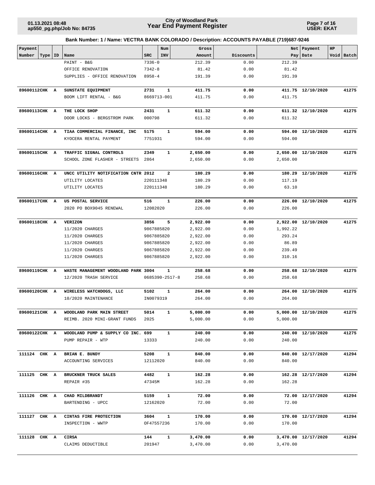**Page 7 of 16 USER: EKAT**

| Payment       |           |                                     |                        | Num            | Gross            |              | Net             | Payment             | HP |            |
|---------------|-----------|-------------------------------------|------------------------|----------------|------------------|--------------|-----------------|---------------------|----|------------|
| Number        | Type   ID | Name                                | <b>SRC</b>             | INV            | Amount           | Discounts    | Pay             | Date                |    | Void Batch |
|               |           | PAINT - B&G                         | $7336 - 0$             |                | 212.39           | 0.00         | 212.39          |                     |    |            |
|               |           | OFFICE RENOVATION                   | $7342 - 8$             |                | 81.42            | 0.00         | 81.42           |                     |    |            |
|               |           | SUPPLIES - OFFICE RENOVATION        | $8958 - 4$             |                | 191.39           | 0.00         | 191.39          |                     |    |            |
| 89600112CHK A |           | SUNSTATE EQUIPMENT                  | 2731                   | $\mathbf{1}$   | 411.75           | 0.00         |                 | 411.75 12/10/2020   |    | 41275      |
|               |           | BOOM LIFT RENTAL - B&G              |                        | 8669713-001    | 411.75           | 0.00         | 411.75          |                     |    |            |
|               |           |                                     |                        |                |                  |              |                 |                     |    |            |
| 89600113CHK A |           | THE LOCK SHOP                       | 2431                   | $\mathbf{1}$   | 611.32           | 0.00         |                 | 611.32 12/10/2020   |    | 41275      |
|               |           | DOOR LOCKS - BERGSTROM PARK         | 000798                 |                | 611.32           | 0.00         | 611.32          |                     |    |            |
| 89600114CHK A |           | TIAA COMMERCIAL FINANCE, INC        | 5175                   | $\mathbf{1}$   | 594.00           | 0.00         |                 | 594.00 12/10/2020   |    | 41275      |
|               |           | KYOCERA RENTAL PAYMENT              | 7751931                |                | 594.00           | 0.00         | 594.00          |                     |    |            |
| 89600115CHK A |           | TRAFFIC SIGNAL CONTROLS             | 2349                   | 1              | 2,650.00         | 0.00         |                 | 2,650.00 12/10/2020 |    | 41275      |
|               |           | SCHOOL ZONE FLASHER - STREETS       | 2864                   |                | 2,650.00         | 0.00         | 2,650.00        |                     |    |            |
|               |           |                                     |                        |                |                  |              |                 |                     |    |            |
| 89600116CHK A |           | UNCC UTILITY NOTIFICATION CNTR 2012 |                        | $\mathbf{2}$   | 180.29           | 0.00         |                 | 180.29 12/10/2020   |    | 41275      |
|               |           | UTILITY LOCATES<br>UTILITY LOCATES  | 220111348<br>220111348 |                | 180.29<br>180.29 | 0.00<br>0.00 | 117.19<br>63.10 |                     |    |            |
|               |           |                                     |                        |                |                  |              |                 |                     |    |            |
| 89600117CHK A |           | US POSTAL SERVICE                   | 516                    | $\mathbf{1}$   | 226.00           | 0.00         |                 | 226.00 12/10/2020   |    | 41275      |
|               |           | 2020 PO BOX9045 RENEWAL             | 12082020               |                | 226.00           | 0.00         | 226.00          |                     |    |            |
| 89600118CHK A |           | <b>VERIZON</b>                      | 3856                   | 5              | 2,922.00         | 0.00         |                 | 2,922.00 12/10/2020 |    | 41275      |
|               |           | 11/2020 CHARGES                     | 9867885820             |                | 2,922.00         | 0.00         | 1,992.22        |                     |    |            |
|               |           | 11/2020 CHARGES                     | 9867885820             |                | 2,922.00         | 0.00         | 293.24          |                     |    |            |
|               |           | 11/2020 CHARGES                     | 9867885820             |                | 2,922.00         | 0.00         | 86.89           |                     |    |            |
|               |           | 11/2020 CHARGES                     | 9867885820             |                | 2,922.00         | 0.00         | 239.49          |                     |    |            |
|               |           | 11/2020 CHARGES                     | 9867885820             |                | 2,922.00         | 0.00         | 310.16          |                     |    |            |
| 89600119CHK A |           | WASTE MANAGEMENT WOODLAND PARK 3004 |                        | $\mathbf{1}$   | 258.68           | 0.00         |                 | 258.68 12/10/2020   |    | 41275      |
|               |           | 12/2020 TRASH SERVICE               |                        | 0685390-2517-8 | 258.68           | 0.00         | 258.68          |                     |    |            |
| 89600120CHK A |           | WIRELESS WATCHDOGS, LLC             | 5102                   | 1              | 264.00           | 0.00         |                 | 264.00 12/10/2020   |    | 41275      |
|               |           | 10/2020 MAINTENANCE                 | IN0079319              |                | 264.00           | 0.00         | 264.00          |                     |    |            |
| 89600121CHK A |           | WOODLAND PARK MAIN STREET           | 5014                   | 1              | 5,000.00         | 0.00         |                 | 5,000.00 12/10/2020 |    | 41275      |
|               |           | REIMB. 2020 MINI-GRANT FUNDS        | 2025                   |                | 5,000.00         | 0.00         | 5,000.00        |                     |    |            |
|               |           |                                     |                        |                |                  |              |                 |                     |    |            |
| 89600122CHK A |           | WOODLAND PUMP & SUPPLY CO INC. 699  |                        | $\mathbf{1}$   | 240.00           | 0.00         |                 | 240.00 12/10/2020   |    | 41275      |
|               |           | PUMP REPAIR - WTP                   | 13333                  |                | 240.00           | 0.00         | 240.00          |                     |    |            |
| 111124 CHK A  |           | BRIAN E. BUNDY                      | 5208                   | $\mathbf{1}$   | 840.00           | 0.00         |                 | 840.00 12/17/2020   |    | 41294      |
|               |           | ACCOUNTING SERVICES                 | 12112020               |                | 840.00           | 0.00         | 840.00          |                     |    |            |
| 111125 CHK A  |           | BRUCKNER TRUCK SALES                | 4482                   | $\mathbf{1}$   | 162.28           | 0.00         |                 | 162.28 12/17/2020   |    | 41294      |
|               |           | REPAIR #35                          | 47345M                 |                | 162.28           | 0.00         | 162.28          |                     |    |            |
|               |           |                                     |                        |                |                  |              |                 |                     |    |            |
| 111126 CHK A  |           | CHAD MILDBRANDT                     | 5159                   | $\mathbf{1}$   | 72.00            | 0.00         |                 | 72.00 12/17/2020    |    | 41294      |
|               |           | BARTENDING - UPCC                   | 12162020               |                | 72.00            | 0.00         | 72.00           |                     |    |            |
| 111127 CHK A  |           | CINTAS FIRE PROTECTION              | 3604                   | $\mathbf{1}$   | 170.00           | 0.00         |                 | 170.00 12/17/2020   |    | 41294      |
|               |           | INSPECTION - WWTP                   | OF47557236             |                | 170.00           | 0.00         | 170.00          |                     |    |            |
| 111128 CHK A  |           | CIRSA                               | 144                    | 1              | 3,470.00         | 0.00         |                 | 3,470.00 12/17/2020 |    | 41294      |
|               |           | CLAIMS DEDUCTIBLE                   | 201947                 |                | 3,470.00         | 0.00         | 3,470.00        |                     |    |            |
|               |           |                                     |                        |                |                  |              |                 |                     |    |            |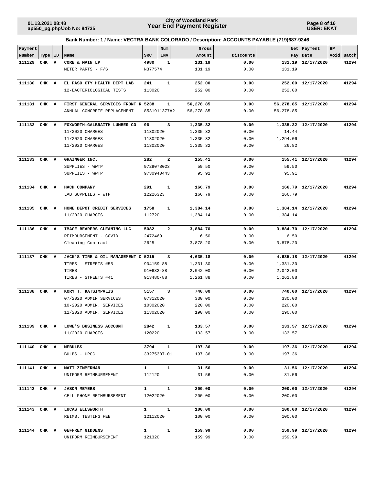**Page 8 of 16 USER: EKAT**

| Payment      |       |              |                                     |                        | Num          | Gross     |           | Net       | Payment              | HP |            |
|--------------|-------|--------------|-------------------------------------|------------------------|--------------|-----------|-----------|-----------|----------------------|----|------------|
| Number       | Type  | ID           | Name                                | <b>SRC</b>             | INV          | Amount    | Discounts |           | Pay   Date           |    | Void Batch |
| 111129       | CHK A |              | CORE & MAIN LP                      | 4980                   | 1            | 131.19    | 0.00      |           | 131.19 12/17/2020    |    | 41294      |
|              |       |              | METER PARTS - F/S                   | N377574                |              | 131.19    | 0.00      | 131.19    |                      |    |            |
| 111130       | CHK A |              | EL PASO CTY HEALTH DEPT LAB         | 241                    | $\mathbf{1}$ | 252.00    | 0.00      |           | 252.00 12/17/2020    |    | 41294      |
|              |       |              | 12-BACTERIOLOGICAL TESTS            | 113020                 |              | 252.00    | 0.00      | 252.00    |                      |    |            |
| 111131       | CHK A |              | FIRST GENERAL SERVICES FRONT R 5238 |                        | 1            | 56,278.85 | 0.00      |           | 56,278.85 12/17/2020 |    | 41294      |
|              |       |              | ANNUAL CONCRETE REPLACEMENT         | 8531911377#2           |              | 56,278.85 | 0.00      | 56,278.85 |                      |    |            |
| 111132 CHK A |       |              | FOXWORTH-GALBRAITH LUMBER CO        | 96                     | 3            | 1,335.32  | 0.00      |           | 1,335.32 12/17/2020  |    | 41294      |
|              |       |              | 11/2020 CHARGES                     | 11302020               |              | 1,335.32  | 0.00      | 14.44     |                      |    |            |
|              |       |              | 11/2020 CHARGES                     | 11302020               |              | 1,335.32  | 0.00      | 1,294.06  |                      |    |            |
|              |       |              | 11/2020 CHARGES                     | 11302020               |              | 1,335.32  | 0.00      | 26.82     |                      |    |            |
|              |       |              |                                     |                        |              |           |           |           |                      |    |            |
| 111133       | CHK A |              | GRAINGER INC.                       | 282                    | $\mathbf{2}$ | 155.41    | 0.00      |           | 155.41 12/17/2020    |    | 41294      |
|              |       |              | SUPPLIES - WWTP                     | 9729078023             |              | 59.50     | 0.00      | 59.50     |                      |    |            |
|              |       |              | SUPPLIES - WWTP                     | 9730940443             |              | 95.91     | 0.00      | 95.91     |                      |    |            |
| 111134 CHK A |       |              | HACH COMPANY                        | 291                    | $\mathbf{1}$ | 166.79    | 0.00      |           | 166.79 12/17/2020    |    | 41294      |
|              |       |              | LAB SUPPLIES - WTP                  | 12226323               |              | 166.79    | 0.00      | 166.79    |                      |    |            |
| 111135 CHK A |       |              | HOME DEPOT CREDIT SERVICES          | 1758                   | 1            | 1,384.14  | 0.00      |           | 1,384.14 12/17/2020  |    | 41294      |
|              |       |              | 11/2020 CHARGES                     | 112720                 |              | 1,384.14  | 0.00      | 1,384.14  |                      |    |            |
|              |       |              |                                     |                        |              |           |           |           |                      |    |            |
| 111136       | CHK   | A            | IMAGE BEARERS CLEANING LLC          | 5082                   | $\mathbf{2}$ | 3,884.70  | 0.00      |           | 3,884.70 12/17/2020  |    | 41294      |
|              |       |              | REIMBURSEMENT - COVID               | 2472469                |              | 6.50      | 0.00      | 6.50      |                      |    |            |
|              |       |              | Cleaning Contract                   | 2625                   |              | 3,878.20  | 0.00      | 3,878.20  |                      |    |            |
| 111137       | CHK A |              | JACK'S TIRE & OIL MANAGEMENT C 5215 |                        | 3            | 4,635.18  | 0.00      |           | 4,635.18 12/17/2020  |    | 41294      |
|              |       |              | TIRES - STREETS #55                 | 904159-88              |              | 1,331.30  | 0.00      | 1,331.30  |                      |    |            |
|              |       |              | TIRES                               | 910632-88              |              | 2,042.00  | 0.00      | 2,042.00  |                      |    |            |
|              |       |              | TIRES - STREETS #41                 | 913480-88              |              | 1,261.88  | 0.00      | 1,261.88  |                      |    |            |
| 111138       | CHK   | $\mathbf{A}$ | KORY T. KATSIMPALIS                 | 5157                   | 3            | 740.00    | 0.00      | 740.00    | 12/17/2020           |    | 41294      |
|              |       |              | 07/2020 ADMIN SERVICES              | 07312020               |              | 330.00    | 0.00      | 330.00    |                      |    |            |
|              |       |              | 10-2020 ADMIN. SERVICES             | 10302020               |              | 220.00    | 0.00      | 220.00    |                      |    |            |
|              |       |              | 11/2020 ADMIN. SERVICES             | 11302020               |              | 190.00    | 0.00      | 190.00    |                      |    |            |
|              |       |              |                                     |                        |              |           |           |           |                      |    |            |
| 111139 CHK A |       |              | LOWE'S BUSINESS ACCOUNT             | 2842                   | $\mathbf{1}$ | 133.57    | 0.00      |           | 133.57 12/17/2020    |    | 41294      |
|              |       |              | 11/2020 CHARGES                     | 120220                 |              | 133.57    | 0.00      | 133.57    |                      |    |            |
| 111140 CHK A |       |              | MEBULBS                             | 3794                   | $\mathbf{1}$ | 197.36    | 0.00      |           | 197.36 12/17/2020    |    | 41294      |
|              |       |              | BULBS - UPCC                        | 33275307-01            |              | 197.36    | 0.00      | 197.36    |                      |    |            |
| 111141 CHK A |       |              | MATT ZIMMERMAN                      | $\mathbf{1}$           | $\mathbf{1}$ | 31.56     | 0.00      |           | 31.56 12/17/2020     |    | 41294      |
|              |       |              | UNIFORM REIMBURSEMENT               | 112120                 |              | 31.56     | 0.00      | 31.56     |                      |    |            |
|              |       |              |                                     |                        |              |           |           |           |                      |    |            |
| 111142 CHK A |       |              | <b>JASON MEYERS</b>                 | $\mathbf{1}$           | $\mathbf{1}$ | 200.00    | 0.00      |           | 200.00 12/17/2020    |    | 41294      |
|              |       |              | CELL PHONE REIMBURSEMENT            | 12022020               |              | 200.00    | 0.00      | 200.00    |                      |    |            |
| 111143 CHK A |       |              | LUCAS ELLSWORTH                     | $\mathbf{1}$           | $\mathbf{1}$ | 100.00    | 0.00      |           | 100.00 12/17/2020    |    | 41294      |
|              |       |              | REIMB. TESTING FEE                  | 12112020               |              | 100.00    | 0.00      | 100.00    |                      |    |            |
|              |       |              |                                     |                        | $\mathbf{1}$ |           |           |           |                      |    |            |
| 111144 CHK A |       |              | GEFFREY GIDDENS                     | $1 \quad \blacksquare$ |              | 159.99    | 0.00      |           | 159.99 12/17/2020    |    | 41294      |
|              |       |              | UNIFORM REIMBURSEMENT               | 121320                 |              | 159.99    | 0.00      | 159.99    |                      |    |            |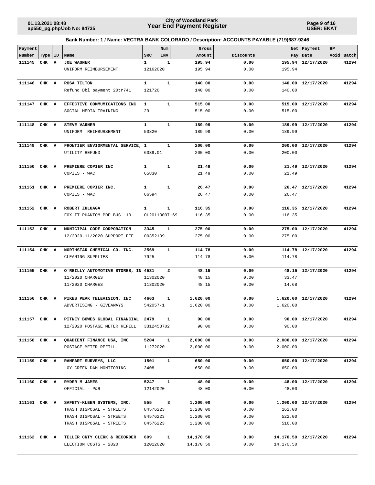**Page 9 of 16 USER: EKAT**

| Payment      |           |   |                                                        |                 | Num           | Gross                |              |           | Net   Payment        | HP |            |
|--------------|-----------|---|--------------------------------------------------------|-----------------|---------------|----------------------|--------------|-----------|----------------------|----|------------|
| Number       | Type   ID |   | Name                                                   | <b>SRC</b>      | INV           | Amount               | Discounts    |           | Pay   Date           |    | Void Batch |
| 111145       | CHK       | A | <b>JOE WAGNER</b>                                      | 1               | 1             | 195.94               | 0.00         |           | 195.94 12/17/2020    |    | 41294      |
|              |           |   | UNIFORM REIMBURSEMENT                                  | 12162020        |               | 195.94               | 0.00         | 195.94    |                      |    |            |
| 111146       | CHK A     |   | ROSA TILTON                                            | $\mathbf{1}$    | $\mathbf{1}$  | 140.00               | 0.00         |           | 140.00 12/17/2020    |    | 41294      |
|              |           |   | Refund Dbl payment 20tr741                             | 121720          |               | 140.00               | 0.00         | 140.00    |                      |    |            |
|              |           |   |                                                        |                 |               |                      |              |           |                      |    |            |
| 111147 CHK A |           |   | EFFECTIVE COMMUMICATIONS INC                           | $\mathbf{1}$    | $\mathbf{1}$  | 515.00               | 0.00         |           | 515.00 12/17/2020    |    | 41294      |
|              |           |   | SOCIAL MEDIA TRAINING                                  | 29              |               | 515.00               | 0.00         | 515.00    |                      |    |            |
|              |           |   |                                                        |                 |               |                      |              |           |                      |    |            |
| 111148       | CHK A     |   | <b>STEVE VARNER</b>                                    | $\mathbf{1}$    | $\mathbf{1}$  | 189.99               | 0.00         |           | 189.99 12/17/2020    |    | 41294      |
|              |           |   | UNIFORM REIMBURSEMENT                                  | 50820           |               | 189.99               | 0.00         | 189.99    |                      |    |            |
|              |           |   |                                                        |                 |               |                      |              |           |                      |    |            |
| 111149       | CHK A     |   | FRONTIER ENVIORMENTAL SERVICE, 1                       |                 | $\mathbf{1}$  | 200.00               | 0.00         |           | 200.00 12/17/2020    |    | 41294      |
|              |           |   | UTILITY REFUND                                         | 6039.01         |               | 200.00               | 0.00         | 200.00    |                      |    |            |
| 111150       | CHK A     |   | PREMIERE COPIER INC                                    | $\mathbf{1}$    | $\mathbf{1}$  | 21.49                | 0.00         |           | 21.49 12/17/2020     |    | 41294      |
|              |           |   | COPIES - WAC                                           | 65830           |               | 21.49                | 0.00         | 21.49     |                      |    |            |
|              |           |   |                                                        |                 |               |                      |              |           |                      |    |            |
| 111151 CHK A |           |   | PREMIERE COPIER INC.                                   | $\mathbf{1}$    | $\mathbf{1}$  | 26.47                | 0.00         |           | 26.47 12/17/2020     |    | 41294      |
|              |           |   | COPIES - WAC                                           | 66594           |               | 26.47                | 0.00         | 26.47     |                      |    |            |
|              |           |   |                                                        |                 |               |                      |              |           |                      |    |            |
| 111152 CHK A |           |   | ROBERT ZULUAGA                                         | 1               | $\mathbf{1}$  | 116.35               | 0.00         |           | 116.35 12/17/2020    |    | 41294      |
|              |           |   | FOX IT PHANTOM PDF BUS. 10                             |                 | OL20113007169 | 116.35               | 0.00         | 116.35    |                      |    |            |
|              |           |   |                                                        |                 |               |                      |              |           |                      |    |            |
| 111153 CHK A |           |   | MUNICIPAL CODE CORPORATION                             | 3345            | $\mathbf{1}$  | 275.00               | 0.00         |           | 275.00 12/17/2020    |    | 41294      |
|              |           |   | 12/2020-11/2020 SUPPORT FEE                            | 00352139        |               | 275.00               | 0.00         | 275.00    |                      |    |            |
|              |           |   |                                                        |                 | $\mathbf{1}$  |                      |              |           |                      |    | 41294      |
| 111154 CHK A |           |   | NORTHSTAR CHEMICAL CO. INC.<br>CLEANING SUPPLIES       | 2569<br>7925    |               | 114.78<br>114.78     | 0.00<br>0.00 | 114.78    | 114.78 12/17/2020    |    |            |
|              |           |   |                                                        |                 |               |                      |              |           |                      |    |            |
| 111155       | CHK       | A | O'REILLY AUTOMOTIVE STORES, IN 4531                    |                 | 2             | 48.15                | 0.00         |           | 48.15 12/17/2020     |    | 41294      |
|              |           |   | 11/2020 CHARGES                                        | 11302020        |               | 48.15                | 0.00         | 33.47     |                      |    |            |
|              |           |   | 11/2020 CHARGES                                        | 11302020        |               | 48.15                | 0.00         | 14.68     |                      |    |            |
|              |           |   |                                                        |                 |               |                      |              |           |                      |    |            |
| 111156 CHK A |           |   | PIKES PEAK TELEVISION, INC                             | 4663            | 1             | 1,620.00             | 0.00         |           | 1,620.00 12/17/2020  |    | 41294      |
|              |           |   | ADVERTISING - GIVEAWAYS                                | 542057-1        |               | 1,620.00             | 0.00         | 1,620.00  |                      |    |            |
|              |           |   |                                                        |                 |               |                      |              |           |                      |    |            |
| 111157 CHK A |           |   | PITNEY BOWES GLOBAL FINANCIAL 2479                     |                 |               | 90.00                | 0.00         |           | 90.00 12/17/2020     |    | 41294      |
|              |           |   | 12/2020 POSTAGE METER REFILL                           | 3312453702      |               | 90.00                | 0.00         | 90.00     |                      |    |            |
| 111158 CHK A |           |   | QUADIENT FINANCE USA, INC                              | 5204            | $\mathbf{1}$  | 2,000.00             | 0.00         |           | 2,000.00 12/17/2020  |    | 41294      |
|              |           |   | POSTAGE METER REFILL                                   | 11272020        |               | 2,000.00             | 0.00         | 2,000.00  |                      |    |            |
|              |           |   |                                                        |                 |               |                      |              |           |                      |    |            |
| 111159 CHK A |           |   | RAMPART SURVEYS, LLC                                   | 1501            | $\mathbf{1}$  | 650.00               | 0.00         |           | 650.00 12/17/2020    |    | 41294      |
|              |           |   | LOY CREEK DAM MONITORING                               | 3408            |               | 650.00               | 0.00         | 650.00    |                      |    |            |
|              |           |   |                                                        |                 |               |                      |              |           |                      |    |            |
| 111160 CHK A |           |   | RYDER M JAMES                                          | 5247            | $\mathbf{1}$  | 48.00                | 0.00         |           | 48.00 12/17/2020     |    | 41294      |
|              |           |   | OFFICIAL - P&R                                         | 12142020        |               | 48.00                | 0.00         | 48.00     |                      |    |            |
|              |           |   |                                                        |                 |               |                      |              |           |                      |    |            |
| 111161 CHK A |           |   | SAFETY-KLEEN SYSTEMS, INC.<br>TRASH DISPOSAL - STREETS | 555<br>84576223 | 3             | 1,200.00<br>1,200.00 | 0.00<br>0.00 | 162.00    | 1,200.00 12/17/2020  |    | 41294      |
|              |           |   | TRASH DISPOSAL - STREETS                               | 84576223        |               | 1,200.00             | 0.00         | 522.00    |                      |    |            |
|              |           |   | TRASH DISPOSAL - STREETS                               | 84576223        |               | 1,200.00             | 0.00         | 516.00    |                      |    |            |
|              |           |   |                                                        |                 |               |                      |              |           |                      |    |            |
| 111162 CHK A |           |   | TELLER CNTY CLERK & RECORDER                           | 609             | 1             | 14,170.50            | 0.00         |           | 14,170.50 12/17/2020 |    | 41294      |
|              |           |   | ELECTION COSTS - 2020                                  | 12012020        |               | 14,170.50            | 0.00         | 14,170.50 |                      |    |            |
|              |           |   |                                                        |                 |               |                      |              |           |                      |    |            |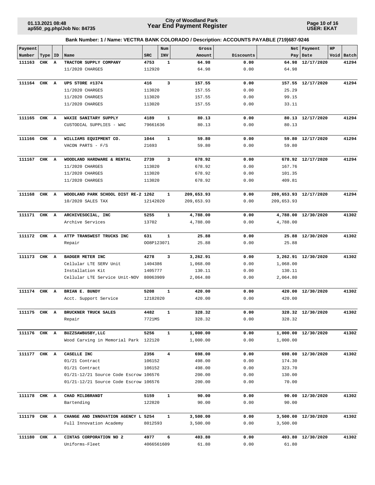**Page 10 of 16 USER: EKAT**

| Payment      |           |   |                                       |            | Num          | Gross      |           |            | Net   Payment         | HP |            |
|--------------|-----------|---|---------------------------------------|------------|--------------|------------|-----------|------------|-----------------------|----|------------|
| Number       | Type   ID |   | Name                                  | <b>SRC</b> | INV          | Amount     | Discounts |            | Pay Date              |    | Void Batch |
| 111163       | CHK       | A | TRACTOR SUPPLY COMPANY                | 4753       | 1            | 64.98      | 0.00      |            | 64.98 12/17/2020      |    | 41294      |
|              |           |   | 11/2020 CHARGES                       | 112920     |              | 64.98      | 0.00      | 64.98      |                       |    |            |
|              |           |   |                                       |            |              |            |           |            |                       |    |            |
| 111164       | CHK A     |   | UPS STORE #1374                       | 416        | 3            | 157.55     | 0.00      |            | 157.55 12/17/2020     |    | 41294      |
|              |           |   | 11/2020 CHARGES                       | 113020     |              | 157.55     | 0.00      | 25.29      |                       |    |            |
|              |           |   | 11/2020 CHARGES                       | 113020     |              | 157.55     | 0.00      | 99.15      |                       |    |            |
|              |           |   | 11/2020 CHARGES                       | 113020     |              | 157.55     | 0.00      | 33.11      |                       |    |            |
|              |           |   |                                       |            |              |            |           |            |                       |    |            |
| 111165       | CHK A     |   | WAXIE SANITARY SUPPLY                 | 4189       | 1            | 80.13      | 0.00      |            | 80.13 12/17/2020      |    | 41294      |
|              |           |   | CUSTODIAL SUPPLIES - WAC              | 79661636   |              | 80.13      | 0.00      | 80.13      |                       |    |            |
|              |           |   |                                       |            |              |            |           |            |                       |    |            |
| 111166       | CHK A     |   | WILLIAMS EQUIPMENT CO.                | 1044       | $\mathbf{1}$ | 59.80      | 0.00      |            | 59.80 12/17/2020      |    | 41294      |
|              |           |   | VACON PARTS - F/S                     | 21693      |              | 59.80      | 0.00      | 59.80      |                       |    |            |
|              |           |   |                                       |            |              |            |           |            |                       |    |            |
| 111167       | CHK A     |   | WOODLAND HARDWARE & RENTAL            | 2739       | 3            | 678.92     | 0.00      |            | 678.92 12/17/2020     |    | 41294      |
|              |           |   | 11/2020 CHARGES                       | 113020     |              | 678.92     | 0.00      | 167.76     |                       |    |            |
|              |           |   | 11/2020 CHARGES                       | 113020     |              | 678.92     | 0.00      | 101.35     |                       |    |            |
|              |           |   | 11/2020 CHARGES                       | 113020     |              | 678.92     | 0.00      | 409.81     |                       |    |            |
|              |           |   |                                       |            |              |            |           |            |                       |    |            |
| 111168       | CHK A     |   | WOODLAND PARK SCHOOL DIST RE-2 1262   |            | 1            | 209,653.93 | 0.00      |            | 209,653.93 12/17/2020 |    | 41294      |
|              |           |   | 10/2020 SALES TAX                     | 12142020   |              | 209,653.93 | 0.00      | 209,653.93 |                       |    |            |
|              |           |   |                                       |            |              |            |           |            |                       |    |            |
| 111171 CHK A |           |   | ARCHIVESOCIAL, INC                    | 5255       | $\mathbf{1}$ | 4,788.00   | 0.00      |            | 4,788.00 12/30/2020   |    | 41302      |
|              |           |   | Archive Services                      | 13702      |              | 4,788.00   | 0.00      | 4,788.00   |                       |    |            |
|              |           |   |                                       |            |              |            |           |            |                       |    |            |
| 111172 CHK A |           |   | ATTP TRANSWEST TRUCKS INC             | 631        | 1            | 25.88      | 0.00      |            | 25.88 12/30/2020      |    | 41302      |
|              |           |   | Repair                                | 008P123071 |              | 25.88      | 0.00      | 25.88      |                       |    |            |
|              |           |   |                                       |            |              |            |           |            |                       |    |            |
| 111173       | CHK       | A | BADGER METER INC                      | 4278       | 3            | 3,262.91   | 0.00      |            | 3,262.91 12/30/2020   |    | 41302      |
|              |           |   | Cellular LTE SERV Unit                | 1404386    |              | 1,068.00   | 0.00      | 1,068.00   |                       |    |            |
|              |           |   | Installation Kit                      | 1405777    |              | 130.11     | 0.00      | 130.11     |                       |    |            |
|              |           |   | Cellular LTE Service Unit-NOV         | 80063909   |              | 2,064.80   | 0.00      | 2,064.80   |                       |    |            |
|              |           |   |                                       |            |              |            |           |            |                       |    |            |
| 111174 CHK A |           |   | BRIAN E. BUNDY                        | 5208       | 1            | 420.00     | 0.00      |            | 420.00 12/30/2020     |    | 41302      |
|              |           |   | Acct. Support Service                 | 12182020   |              | 420.00     | 0.00      | 420.00     |                       |    |            |
|              |           |   |                                       |            |              |            |           |            |                       |    |            |
| 111175 CHK A |           |   | BRUCKNER TRUCK SALES                  | 4482       | $\mathbf{1}$ | 328.32     | 0.00      |            | 328.32 12/30/2020     |    | 41302      |
|              |           |   | Repair                                | 7721MS     |              | 328.32     | 0.00      | 328.32     |                       |    |            |
|              |           |   |                                       |            |              |            |           |            |                       |    |            |
| 111176 CHK A |           |   | BUZZSAWBUSBY, LLC                     | 5256       | $\mathbf{1}$ | 1,000.00   | 0.00      |            | 1,000.00 12/30/2020   |    | 41302      |
|              |           |   | Wood Carving in Memorial Park 122120  |            |              | 1,000.00   | 0.00      | 1,000.00   |                       |    |            |
| 111177 CHK A |           |   | CASELLE INC                           | 2356       | 4            | 698.00     | 0.00      |            |                       |    | 41302      |
|              |           |   | 01/21 Contract                        | 106152     |              | 498.00     | 0.00      | 174.30     | 698.00 12/30/2020     |    |            |
|              |           |   | 01/21 Contract                        | 106152     |              | 498.00     | 0.00      | 323.70     |                       |    |            |
|              |           |   | 01/21-12/21 Source Code Escrow 106576 |            |              | 200.00     | 0.00      | 130.00     |                       |    |            |
|              |           |   |                                       |            |              | 200.00     |           | 70.00      |                       |    |            |
|              |           |   | 01/21-12/21 Source Code Escrow 106576 |            |              |            | 0.00      |            |                       |    |            |
| 111178 CHK A |           |   | CHAD MILDBRANDT                       | 5159       | $\mathbf{1}$ | 90.00      | 0.00      |            | 90.00 12/30/2020      |    | 41302      |
|              |           |   | Bartending                            | 122820     |              | 90.00      | 0.00      | 90.00      |                       |    |            |
|              |           |   |                                       |            |              |            |           |            |                       |    |            |
| 111179 CHK A |           |   | CHANGE AND INNOVATION AGENCY L 5254   |            | 1            | 3,500.00   | 0.00      |            | 3,500.00 12/30/2020   |    | 41302      |
|              |           |   | Full Innovation Academy               | 8012593    |              | 3,500.00   | 0.00      | 3,500.00   |                       |    |            |
|              |           |   |                                       |            |              |            |           |            |                       |    |            |
| 111180       | CHK A     |   | CINTAS CORPORATION NO 2               | 4977       | 6            | 403.80     | 0.00      |            | 403.80 12/30/2020     |    | 41302      |
|              |           |   | Uniforms-Fleet                        | 4066561609 |              | 61.80      | 0.00      | 61.80      |                       |    |            |
|              |           |   |                                       |            |              |            |           |            |                       |    |            |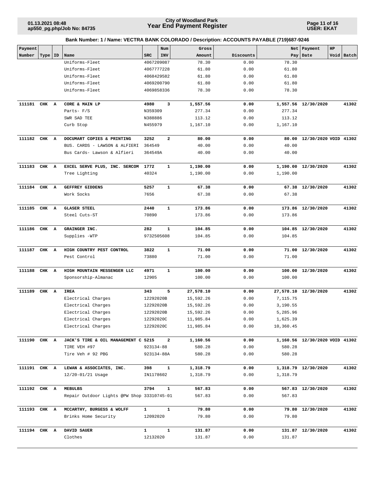**Page 11 of 16 USER: EKAT**

| Bank Number: 1 / Name: VECTRA BANK COLORADO / Description: ACCOUNTS PAYABLE (719)687-9246 |  |
|-------------------------------------------------------------------------------------------|--|
|                                                                                           |  |

| Payment      |           |   |                                            |            | Num          | Gross     |           |           | Net   Payment                  | HP |            |
|--------------|-----------|---|--------------------------------------------|------------|--------------|-----------|-----------|-----------|--------------------------------|----|------------|
| Number       | Type   ID |   | Name                                       | <b>SRC</b> | INV          | Amount    | Discounts | Pay       | Date                           |    | Void Batch |
|              |           |   | Uniforms-Fleet                             | 4067209087 |              | 78.30     | 0.00      | 78.30     |                                |    |            |
|              |           |   | Uniforms-Fleet                             | 4067777228 |              | 61.80     | 0.00      | 61.80     |                                |    |            |
|              |           |   | Uniforms-Fleet                             | 4068429582 |              | 61.80     | 0.00      | 61.80     |                                |    |            |
|              |           |   | Uniforms-Fleet                             | 4069200790 |              | 61.80     | 0.00      | 61.80     |                                |    |            |
|              |           |   | Uniforms-Fleet                             | 4069858336 |              | 78.30     | 0.00      | 78.30     |                                |    |            |
| 111181 CHK A |           |   | CORE & MAIN LP                             | 4980       | 3            | 1,557.56  | 0.00      |           | 1,557.56 12/30/2020            |    | 41302      |
|              |           |   | Parts- F/S                                 | N359309    |              | 277.34    | 0.00      | 277.34    |                                |    |            |
|              |           |   | SWR SAD TEE                                | N388886    |              | 113.12    | 0.00      | 113.12    |                                |    |            |
|              |           |   | Curb Stop                                  | N455979    |              | 1,167.10  | 0.00      | 1,167.10  |                                |    |            |
| 111182       | CHK A     |   | DOCUMART COPIES & PRINTING                 | 3252       | $\mathbf{2}$ | 80.00     | 0.00      |           | 80.00 12/30/2020 VOID 41302    |    |            |
|              |           |   | BUS. CARDS - LAWSON & ALFIERI              | 364549     |              | 40.00     | 0.00      | 40.00     |                                |    |            |
|              |           |   | Bus Cards- Lawson & Alfieri                | 364549A    |              | 40.00     | 0.00      | 40.00     |                                |    |            |
| 111183 CHK A |           |   | EXCEL SERVE PLUS, INC. SERCOM              | 1772       | 1            | 1,190.00  | 0.00      |           | 1,190.00 12/30/2020            |    | 41302      |
|              |           |   | Tree Lighting                              | 40324      |              | 1,190.00  | 0.00      | 1,190.00  |                                |    |            |
| 111184       | CHK A     |   | GEFFREY GIDDENS                            | 5257       | 1            | 67.38     | 0.00      |           | 67.38 12/30/2020               |    | 41302      |
|              |           |   | Work Socks                                 | 7656       |              | 67.38     | 0.00      | 67.38     |                                |    |            |
| 111185 CHK A |           |   | <b>GLASER STEEL</b>                        | 2440       | $\mathbf{1}$ | 173.86    | 0.00      |           | 173.86 12/30/2020              |    | 41302      |
|              |           |   | Steel Cuts-ST                              | 70890      |              | 173.86    | 0.00      | 173.86    |                                |    |            |
| 111186       | CHK A     |   | GRAINGER INC.                              | 282        | 1            | 104.85    | 0.00      |           | 104.85 12/30/2020              |    | 41302      |
|              |           |   | Supplies -WTP                              | 9732505608 |              | 104.85    | 0.00      | 104.85    |                                |    |            |
| 111187       | CHK       | A | HIGH COUNTRY PEST CONTROL                  | 3822       | 1            | 71.00     | 0.00      |           | 71.00 12/30/2020               |    | 41302      |
|              |           |   | Pest Control                               | 73880      |              | 71.00     | 0.00      | 71.00     |                                |    |            |
|              |           |   |                                            |            |              |           |           |           |                                |    |            |
| 111188       | CHK A     |   | HIGH MOUNTAIN MESSENGER LLC                | 4971       | $\mathbf{1}$ | 100.00    | 0.00      |           | 100.00 12/30/2020              |    | 41302      |
|              |           |   | Sponsorship-Almanac                        | 12905      |              | 100.00    | 0.00      | 100.00    |                                |    |            |
| 111189       | CHK A     |   | IREA                                       | 343        | 5            | 27,578.10 | 0.00      |           | 27,578.10 12/30/2020           |    | 41302      |
|              |           |   | Electrical Charges                         | 12292020B  |              | 15,592.26 | 0.00      | 7,115.75  |                                |    |            |
|              |           |   | Electrical Charges                         | 12292020B  |              | 15,592.26 | 0.00      | 3,190.55  |                                |    |            |
|              |           |   | Electrical Charges                         | 12292020B  |              | 15,592.26 | 0.00      | 5,285.96  |                                |    |            |
|              |           |   | Electrical Charges                         | 12292020C  |              | 11,985.84 | 0.00      | 1,625.39  |                                |    |            |
|              |           |   | Electrical Charges                         | 12292020C  |              | 11,985.84 | 0.00      | 10,360.45 |                                |    |            |
| 111190 CHK A |           |   | JACK'S TIRE & OIL MANAGEMENT C 5215        |            | $\mathbf{2}$ | 1,160.56  | 0.00      |           | 1,160.56 12/30/2020 VOID 41302 |    |            |
|              |           |   | TIRE VEH #97                               | 923134-88  |              | 580.28    | 0.00      | 580.28    |                                |    |            |
|              |           |   | Tire Veh # 92 PBG                          | 923134-88A |              | 580.28    | 0.00      | 580.28    |                                |    |            |
| 111191 CHK A |           |   | LEWAN & ASSOCIATES, INC.                   | 398        | 1            | 1,318.79  | 0.00      |           | 1,318.79 12/30/2020            |    | 41302      |
|              |           |   | 12/20-01/21 Usage                          | IN1178602  |              | 1,318.79  | 0.00      | 1,318.79  |                                |    |            |
| 111192 CHK A |           |   | <b>MEBULBS</b>                             | 3794       | ${\bf 1}$    | 567.83    | 0.00      |           | 567.83 12/30/2020              |    | 41302      |
|              |           |   | Repair Outdoor Lights @PW Shop 33310745-01 |            |              | 567.83    | 0.00      | 567.83    |                                |    |            |
| 111193 CHK A |           |   | MCCARTHY, BURGESS & WOLFF                  | 1          | ${\bf 1}$    | 79.80     | 0.00      |           | 79.80 12/30/2020               |    | 41302      |
|              |           |   | Brinks Home Security                       | 12092020   |              | 79.80     | 0.00      | 79.80     |                                |    |            |
| 111194 CHK A |           |   | DAVID SAUER                                | 1          | $\mathbf{1}$ | 131.87    | 0.00      |           | 131.87 12/30/2020              |    | 41302      |
|              |           |   | Clothes                                    | 12132020   |              | 131.87    | 0.00      | 131.87    |                                |    |            |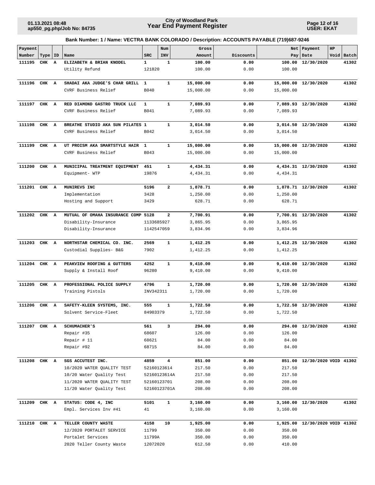**Page 12 of 16 USER: EKAT**

| Payment |       |              |                                                     |                 | Num              | Gross                |              | Net       | Payment                        | HP |            |
|---------|-------|--------------|-----------------------------------------------------|-----------------|------------------|----------------------|--------------|-----------|--------------------------------|----|------------|
| Number  | Type  | <b>ID</b>    | Name                                                | <b>SRC</b>      | INV              | Amount               | Discounts    |           | Pay Date                       |    | Void Batch |
| 111195  | CHK   | $\mathbf{A}$ | ELIZABETH & BRIAN KNODEL                            | $\mathbf{1}$    | 1                | 100.00               | 0.00         | 100.00    | 12/30/2020                     |    | 41302      |
|         |       |              | Utility Refund                                      | 121820          |                  | 100.00               | 0.00         | 100.00    |                                |    |            |
| 111196  | CHK A |              | SHADAI AKA JUDGE'S CHAR GRILL                       | 1               | $\mathbf{1}$     | 15,000.00            | 0.00         | 15,000.00 | 12/30/2020                     |    | 41302      |
|         |       |              | CVRF Business Relief                                | B040            |                  | 15,000.00            | 0.00         | 15,000.00 |                                |    |            |
|         |       |              |                                                     |                 |                  |                      |              |           |                                |    |            |
| 111197  | CHK A |              | RED DIAMOND GASTRO TRUCK LLC                        | $\mathbf{1}$    | $\mathbf{1}$     | 7,089.93             | 0.00         |           | 7,089.93 12/30/2020            |    | 41302      |
|         |       |              | CVRF Business Relief                                | B041            |                  | 7,089.93             | 0.00         | 7,089.93  |                                |    |            |
|         |       |              |                                                     |                 |                  |                      |              |           |                                |    |            |
| 111198  | CHK A |              | BREATHE STUDIO AKA SUN PILATES 1                    |                 | $\mathbf{1}$     | 3,014.50             | 0.00         |           | 3,014.50 12/30/2020            |    | 41302      |
|         |       |              | CVRF Business Relief                                | B042            |                  | 3,014.50             | 0.00         | 3,014.50  |                                |    |            |
| 111199  | CHK A |              | UT PROISM AKA SMARTSTYLE HAIR                       | 1               | $\mathbf{1}$     | 15,000.00            | 0.00         |           | 15,000.00 12/30/2020           |    | 41302      |
|         |       |              | CVRF Business Relief                                | B043            |                  | 15,000.00            | 0.00         | 15,000.00 |                                |    |            |
|         |       |              |                                                     |                 |                  |                      |              |           |                                |    |            |
| 111200  | CHK A |              | MUNICIPAL TREATMENT EQUIPMENT                       | 451             | $\mathbf{1}$     | 4,434.31             | 0.00         |           | 4,434.31 12/30/2020            |    | 41302      |
|         |       |              | Equipment- WTP                                      | 19876           |                  | 4,434.31             | 0.00         | 4,434.31  |                                |    |            |
|         |       |              |                                                     |                 |                  |                      |              |           |                                |    |            |
| 111201  | CHK A |              | MUNIREVS INC                                        | 5196            | $\overline{a}$   | 1,878.71             | 0.00         |           | 1,878.71 12/30/2020            |    | 41302      |
|         |       |              | Implementation                                      | 3428            |                  | 1,250.00             | 0.00         | 1,250.00  |                                |    |            |
|         |       |              | Hosting and Support                                 | 3429            |                  | 628.71               | 0.00         | 628.71    |                                |    |            |
| 111202  | CHK A |              | MUTUAL OF OMAHA INSURANCE COMP 5128                 |                 | $\overline{a}$   | 7,700.91             | 0.00         |           | 7,700.91 12/30/2020            |    | 41302      |
|         |       |              | Disability-Insurance                                |                 | 1133685927       | 3,865.95             | 0.00         | 3,865.95  |                                |    |            |
|         |       |              | Disability-Insurance                                | 1142547059      |                  | 3,834.96             | 0.00         | 3,834.96  |                                |    |            |
|         |       |              |                                                     |                 |                  |                      |              |           |                                |    |            |
| 111203  | CHK A |              | NORTHSTAR CHEMICAL CO. INC.                         | 2569            | $\mathbf{1}$     | 1,412.25             | 0.00         |           | 1,412.25 12/30/2020            |    | 41302      |
|         |       |              | Custodial Supplies- B&G                             | 7902            |                  | 1,412.25             | 0.00         | 1,412.25  |                                |    |            |
| 111204  | CHK   | A            | PEAKVIEW ROOFING & GUTTERS                          | 4252            | $\mathbf{1}$     | 9,410.00             | 0.00         |           | 9,410.00 12/30/2020            |    | 41302      |
|         |       |              | Supply & Install Roof                               | 96280           |                  | 9,410.00             | 0.00         | 9,410.00  |                                |    |            |
|         |       |              |                                                     |                 |                  |                      |              |           |                                |    |            |
| 111205  | CHK A |              | PROFESSIONAL POLICE SUPPLY                          | 4796            | $\mathbf{1}$     | 1,720.00             | 0.00         |           | 1,720.00 12/30/2020            |    | 41302      |
|         |       |              | Training Pistols                                    | INV342311       |                  | 1,720.00             | 0.00         | 1,720.00  |                                |    |            |
|         |       |              |                                                     |                 |                  |                      |              |           |                                |    |            |
| 111206  | CHK A |              | SAFETY-KLEEN SYSTEMS, INC.<br>Solvent Service-Fleet | 555<br>84903379 | $\mathbf{1}$     | 1,722.50<br>1,722.50 | 0.00<br>0.00 | 1,722.50  | 1,722.50 12/30/2020            |    | 41302      |
|         |       |              |                                                     |                 |                  |                      |              |           |                                |    |            |
| 111207  | CHK A |              | <b>SCHUMACHER'S</b>                                 | 561             | 3                | 294.00               | 0.00         |           | 294.00 12/30/2020              |    | 41302      |
|         |       |              | Repair #35                                          | 68607           |                  | 126.00               | 0.00         | 126.00    |                                |    |            |
|         |       |              | Repair # 11                                         | 68621           |                  | 84.00                | 0.00         | 84.00     |                                |    |            |
|         |       |              | Repair #92                                          | 68715           |                  | 84.00                | 0.00         | 84.00     |                                |    |            |
|         |       |              |                                                     |                 |                  |                      |              |           |                                |    |            |
| 111208  | CHK A |              | SGS ACCUTEST INC.<br>10/2020 WATER QUALITY TEST     | 4859            | 4<br>52160123614 | 851.00<br>217.50     | 0.00<br>0.00 | 217.50    | 851.00 12/30/2020 VOID 41302   |    |            |
|         |       |              | 10/20 Water Quality Test                            |                 | 52160123614A     | 217.50               | 0.00         | 217.50    |                                |    |            |
|         |       |              | 11/2020 WATER QUALITY TEST                          |                 | 52160123701      | 208.00               | 0.00         | 208.00    |                                |    |            |
|         |       |              | 11/20 Water Quality Test                            |                 | 52160123701A     | 208.00               | 0.00         | 208.00    |                                |    |            |
|         |       |              |                                                     |                 |                  |                      |              |           |                                |    |            |
| 111209  | CHK A |              | STATUS: CODE 4, INC                                 | 5101            | $\mathbf{1}$     | 3,160.00             | 0.00         |           | 3,160.00 12/30/2020            |    | 41302      |
|         |       |              | Empl. Services Inv #41                              | 41              |                  | 3,160.00             | 0.00         | 3,160.00  |                                |    |            |
| 111210  | CHK A |              | TELLER COUNTY WASTE                                 | 4158            | 10               | 1,925.00             | 0.00         |           | 1,925.00 12/30/2020 VOID 41302 |    |            |
|         |       |              | 12/2020 PORTALET SERVICE                            | 11799           |                  | 350.00               | 0.00         | 350.00    |                                |    |            |
|         |       |              | Portalet Services                                   | 11799A          |                  | 350.00               | 0.00         | 350.00    |                                |    |            |
|         |       |              | 2020 Teller County Waste                            | 12072020        |                  | 612.50               | 0.00         | 410.00    |                                |    |            |
|         |       |              |                                                     |                 |                  |                      |              |           |                                |    |            |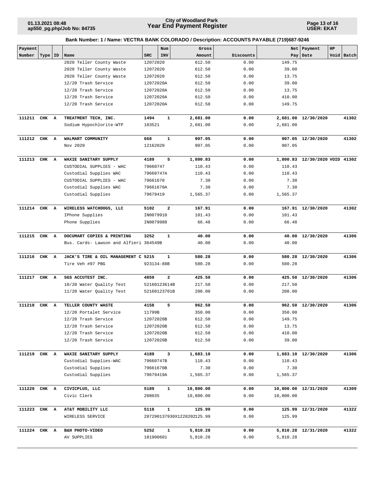**Page 13 of 16 USER: EKAT**

| Payment      |       |    |                                        |            | Num          | Gross                      |           |           | Net   Payment                  | HP |            |
|--------------|-------|----|----------------------------------------|------------|--------------|----------------------------|-----------|-----------|--------------------------------|----|------------|
| Number       | Type  | ID | Name                                   | SRC        | INV          | Amount                     | Discounts | Pay       | Date                           |    | Void Batch |
|              |       |    | 2020 Teller County Waste               | 12072020   |              | 612.50                     | 0.00      | 149.75    |                                |    |            |
|              |       |    | 2020 Teller County Waste               | 12072020   |              | 612.50                     | 0.00      | 39.00     |                                |    |            |
|              |       |    | 2020 Teller County Waste               | 12072020   |              | 612.50                     | 0.00      | 13.75     |                                |    |            |
|              |       |    | 12/20 Trash Service                    | 12072020A  |              | 612.50                     | 0.00      | 39.00     |                                |    |            |
|              |       |    | 12/20 Trash Service                    | 12072020A  |              | 612.50                     | 0.00      | 13.75     |                                |    |            |
|              |       |    | 12/20 Trash Service                    | 12072020A  |              | 612.50                     | 0.00      | 410.00    |                                |    |            |
|              |       |    | 12/20 Trash Service                    | 12072020A  |              | 612.50                     | 0.00      | 149.75    |                                |    |            |
| 111211       | CHK A |    | TREATMENT TECH, INC.                   | 1494       | 1            | 2,681.00                   | 0.00      |           | 2,681.00 12/30/2020            |    | 41302      |
|              |       |    | Sodium Hypochlorite-WTP                | 183521     |              | 2,681.00                   | 0.00      | 2,681.00  |                                |    |            |
| 111212       | CHK A |    | WALMART COMMUNITY                      | 668        | 1            | 907.05                     | 0.00      |           | 907.05 12/30/2020              |    | 41302      |
|              |       |    | Nov 2020                               | 12162020   |              | 907.05                     | 0.00      | 907.05    |                                |    |            |
| 111213 CHK A |       |    | WAXIE SANITARY SUPPLY                  | 4189       | 5            | 1,800.83                   | 0.00      |           | 1,800.83 12/30/2020 VOID 41302 |    |            |
|              |       |    | CUSTODIAL SUPPLIES - WAC               | 79660747   |              | 110.43                     | 0.00      | 110.43    |                                |    |            |
|              |       |    | Custodial Supplies WAC                 | 79660747A  |              | 110.43                     | 0.00      | 110.43    |                                |    |            |
|              |       |    | CUSTODIAL SUPPLIES - WAC               | 79661670   |              | 7.30                       | 0.00      | 7.30      |                                |    |            |
|              |       |    | Custodial Supplies WAC                 | 79661670A  |              | 7.30                       | 0.00      | 7.30      |                                |    |            |
|              |       |    | Custodial Supplies                     | 79679419   |              | 1,565.37                   | 0.00      | 1,565.37  |                                |    |            |
| 111214 CHK A |       |    | WIRELESS WATCHDOGS, LLC                | 5102       | $\mathbf{2}$ | 167.91                     | 0.00      |           | 167.91 12/30/2020              |    | 41302      |
|              |       |    | IPhone Supplies                        | IN0079910  |              | 101.43                     | 0.00      | 101.43    |                                |    |            |
|              |       |    | Phone Supplies                         | IN0079988  |              | 66.48                      | 0.00      | 66.48     |                                |    |            |
| 111215 CHK A |       |    | DOCUMART COPIES & PRINTING             | 3252       | 1            | 40.00                      | 0.00      |           | 40.00 12/30/2020               |    | 41306      |
|              |       |    | Bus. Cards- Lawson and Alfieri 364549B |            |              | 40.00                      | 0.00      | 40.00     |                                |    |            |
| 111216       | CHK A |    | JACK'S TIRE & OIL MANAGEMENT C 5215    |            | 1            | 580.28                     | 0.00      |           | 580.28 12/30/2020              |    | 41306      |
|              |       |    | Tire Veh #97 PBG                       | 923134-88B |              | 580.28                     | 0.00      | 580.28    |                                |    |            |
| 111217       | CHK A |    | SGS ACCUTEST INC.                      | 4859       | $\mathbf{2}$ | 425.50                     | 0.00      |           | 425.50 12/30/2020              |    | 41306      |
|              |       |    | 10/20 Water Quality Test               |            | 52160123614B | 217.50                     | 0.00      | 217.50    |                                |    |            |
|              |       |    | 11/20 Water Quality Test               |            | 52160123701B | 208.00                     | 0.00      | 208.00    |                                |    |            |
| 111218       | CHK A |    | TELLER COUNTY WASTE                    | 4158       | 5            | 962.50                     | 0.00      |           | 962.50 12/30/2020              |    | 41306      |
|              |       |    | 12/20 Portalet Service                 | 11799B     |              | 350.00                     | 0.00      | 350.00    |                                |    |            |
|              |       |    | 12/20 Trash Service                    | 12072020B  |              | 612.50                     | 0.00      | 149.75    |                                |    |            |
|              |       |    | 12/20 Trash Service                    | 12072020B  |              | 612.50                     | 0.00      | 13.75     |                                |    |            |
|              |       |    | 12/20 Trash Service                    | 12072020B  |              | 612.50                     | 0.00      | 410.00    |                                |    |            |
|              |       |    | 12/20 Trash Service                    | 12072020B  |              | 612.50                     | 0.00      | 39.00     |                                |    |            |
| 111219 CHK A |       |    | WAXIE SANITARY SUPPLY                  | 4189       | 3            | 1,683.10                   | 0.00      |           | 1,683.10 12/30/2020            |    | 41306      |
|              |       |    | Custodial Supplies-WAC                 | 79660747B  |              | 110.43                     | 0.00      | 110.43    |                                |    |            |
|              |       |    | Custodial Supplies                     | 79661670B  |              | 7.30                       | 0.00      | 7.30      |                                |    |            |
|              |       |    | Custodial Supplies                     | 79679419A  |              | 1,565.37                   | 0.00      | 1,565.37  |                                |    |            |
| 111220       | CHK A |    | CIVICPLUS, LLC                         | 5189       | $\mathbf{1}$ | 10,800.00                  | 0.00      |           | 10,800.00 12/31/2020           |    | 41309      |
|              |       |    | Civic Clerk                            | 208035     |              | 10,800.00                  | 0.00      | 10,800.00 |                                |    |            |
| 111223 CHK A |       |    | AT&T MOBILITY LLC                      | 5118       | $\mathbf{1}$ | 125.99                     | 0.00      |           | 125.99 12/31/2020              |    | 41322      |
|              |       |    | WIRELESS SERVICE                       |            |              | 287290137930X1228202125.99 | 0.00      | 125.99    |                                |    |            |
| 111224       | CHK A |    | B&H PHOTO-VIDEO                        | 5252       | 1            | 5,810.28                   | 0.00      |           | 5,810.28 12/31/2020            |    | 41322      |
|              |       |    | AV SUPPLIES                            | 181900601  |              | 5,810.28                   | 0.00      | 5,810.28  |                                |    |            |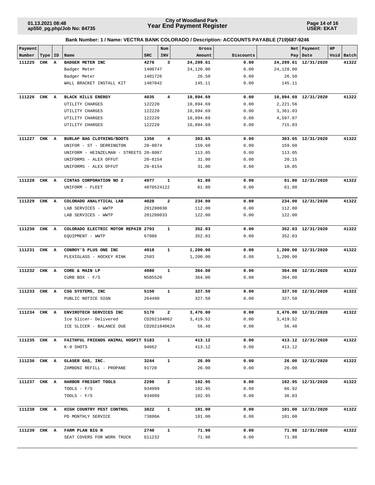**Page 14 of 16 USER: EKAT**

| Payment      |           |   |                                        |             | Num            | Gross     |           |           | Net Payment          | HP |            |
|--------------|-----------|---|----------------------------------------|-------------|----------------|-----------|-----------|-----------|----------------------|----|------------|
| Number       | Type   ID |   | Name                                   | SRC         | INV            | Amount    | Discounts | Pay       | Date                 |    | Void Batch |
| 111225       | CHK       | A | BADGER METER INC                       | 4278        | 3              | 24,299.61 | 0.00      |           | 24,299.61 12/31/2020 |    | 41322      |
|              |           |   | Badger Meter                           | 1400747     |                | 24,128.00 | 0.00      | 24,128.00 |                      |    |            |
|              |           |   | Badger Meter                           | 1401726     |                | 26.50     | 0.00      | 26.50     |                      |    |            |
|              |           |   | WALL BRACKET INSTALL KIT               | 1407042     |                | 145.11    | 0.00      | 145.11    |                      |    |            |
| 111226       | CHK       | A | <b>BLACK HILLS ENERGY</b>              | 4035        | $\overline{4}$ | 10,894.69 | 0.00      |           | 10,894.69 12/31/2020 |    | 41322      |
|              |           |   | UTILITY CHARGES                        | 122220      |                | 10,894.69 | 0.00      | 2,221.56  |                      |    |            |
|              |           |   | UTILITY CHARGES                        | 122220      |                | 10,894.69 | 0.00      | 3,361.03  |                      |    |            |
|              |           |   | UTILITY CHARGES                        | 122220      |                | 10,894.69 | 0.00      | 4,597.07  |                      |    |            |
|              |           |   | UTILITY CHARGES                        | 122220      |                | 10,894.69 | 0.00      | 715.03    |                      |    |            |
| 111227       | CHK A     |   | BURLAP BAG CLOTHING/BOOTS              | 1356        | 4              | 303.65    | 0.00      |           | 303.65 12/31/2020    |    | 41322      |
|              |           |   | UNIFOR - ST - DERRINGTON               | $20 - 8074$ |                | 159.60    | 0.00      | 159.60    |                      |    |            |
|              |           |   | UNIFORM - HEINZELMAN - STREETS 20-8087 |             |                | 113.05    | 0.00      | 113.05    |                      |    |            |
|              |           |   | UNIFORMS - ALEX OFFUT                  | $20 - 8154$ |                | 31.00     | 0.00      | 20.15     |                      |    |            |
|              |           |   | UNIFORMS - ALEX OFFUT                  | $20 - 8154$ |                | 31.00     | 0.00      | 10.85     |                      |    |            |
| 111228       | CHK A     |   | CINTAS CORPORATION NO 2                | 4977        | 1              | 61.80     | 0.00      |           | 61.80 12/31/2020     |    | 41322      |
|              |           |   | UNIFORM - FLEET                        |             | 4070524122     | 61.80     | 0.00      | 61.80     |                      |    |            |
| 111229       | CHK A     |   | COLORADO ANALYTICAL LAB                | 4028        | $\mathbf{2}$   | 234.00    | 0.00      |           | 234.00 12/31/2020    |    | 41322      |
|              |           |   | LAB SERVICES - WWTP                    | 201208030   |                | 112.00    | 0.00      | 112.00    |                      |    |            |
|              |           |   | LAB SERVICES - WWTP                    | 201208033   |                | 122.00    | 0.00      | 122.00    |                      |    |            |
| 111230       | CHK A     |   | COLORADO ELECTRIC MOTOR REPAIR 2793    |             | $\mathbf{1}$   | 352.03    | 0.00      |           | 352.03 12/31/2020    |    | 41322      |
|              |           |   | EQUIPMENT - WWTP                       | 67086       |                | 352.03    | 0.00      | 352.03    |                      |    |            |
| 111231 CHK A |           |   | CONROY'S PLUS ONE INC                  | 4918        | 1              | 1,200.00  | 0.00      |           | 1,200.00 12/31/2020  |    | 41322      |
|              |           |   | PLEXIGLASS - HOCKEY RINK               | 2503        |                | 1,200.00  | 0.00      | 1,200.00  |                      |    |            |
|              |           |   |                                        |             |                |           |           |           |                      |    |            |
| 111232       | CHK       | A | CORE & MAIN LP                         | 4980        | 1              | 364.08    | 0.00      |           | 364.08 12/31/2020    |    | 41322      |
|              |           |   | CURB BOX - $F/S$                       | N505520     |                | 364.08    | 0.00      | 364.08    |                      |    |            |
| 111233       | CHK A     |   | CSG SYSTEMS, INC                       | 5150        | $\mathbf{1}$   | 327.50    | 0.00      |           | 327.50 12/31/2020    |    | 41322      |
|              |           |   | PUBLIC NOTICE SIGN                     | 264490      |                | 327.50    | 0.00      | 327.50    |                      |    |            |
| 111234 CHK A |           |   | ENVIROTECH SERVICES INC                | 5170        | 2              | 3,476.00  | 0.00      |           | 3,476.00 12/31/2020  |    | 41322      |
|              |           |   | Ice Slicer- Delivered                  | CD202104062 |                | 3, 419.52 | 0.00      | 3,419.52  |                      |    |            |
|              |           |   | ICE SLICER - BALANCE DUE               |             | CD202104062A   | 56.48     | 0.00      | 56.48     |                      |    |            |
| 111235 CHK A |           |   | FAITHFUL FRIENDS ANIMAL HOSPIT 5183    |             | $\mathbf{1}$   | 413.12    | 0.00      |           | 413.12 12/31/2020    |    | 41322      |
|              |           |   | K-9 SHOTS                              | 94662       |                | 413.12    | 0.00      | 413.12    |                      |    |            |
| 111236 CHK A |           |   | GLASER GAS, INC.                       | 3244        | $\mathbf{1}$   | 26.00     | 0.00      |           | 26.00 12/31/2020     |    | 41322      |
|              |           |   | ZAMBONI REFILL - PROPANE               | 91720       |                | 26.00     | 0.00      | 26.00     |                      |    |            |
| 111237 CHK A |           |   | HARBOR FREIGHT TOOLS                   | 2298        | $\mathbf{2}$   | 102.95    | 0.00      |           | 102.95 12/31/2020    |    | 41322      |
|              |           |   | TOOLS - $F/S$                          | 934999      |                | 102.95    | 0.00      | 66.92     |                      |    |            |
|              |           |   | TOOLS - $F/S$                          | 934999      |                | 102.95    | 0.00      | 36.03     |                      |    |            |
| 111238 CHK A |           |   | HIGH COUNTRY PEST CONTROL              | 3822        | $\mathbf{1}$   | 101.00    | 0.00      |           | 101.00 12/31/2020    |    | 41322      |
|              |           |   | PD MONTHLY SERVICE                     | 73880A      |                | 101.00    | 0.00      | 101.00    |                      |    |            |
| 111239 CHK A |           |   | FARM PLAN BIG R                        | 2740        | 1              | 71.98     | 0.00      |           | 71.98 12/31/2020     |    | 41322      |
|              |           |   | SEAT COVERS FOR WORK TRUCK             | G11232      |                | 71.98     | 0.00      | 71.98     |                      |    |            |
|              |           |   |                                        |             |                |           |           |           |                      |    |            |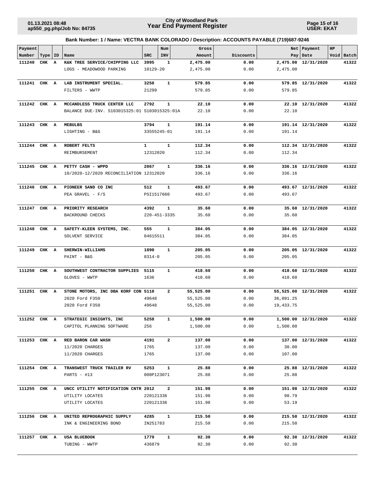**Page 15 of 16 USER: EKAT**

| Payment      |           |              |                                                |                    | Num            | Gross            |              |            | Net   Payment        | HP |            |
|--------------|-----------|--------------|------------------------------------------------|--------------------|----------------|------------------|--------------|------------|----------------------|----|------------|
| Number       | Type   ID |              | Name                                           | <b>SRC</b>         | INV            | Amount           | Discounts    |            | Pay Date             |    | Void Batch |
| 111240       | CHK       | $\mathbf{A}$ | K&K TREE SERVICE/CHIPPING LLC                  | 3995               | 1              | 2,475.00         | 0.00         |            | 2,475.00 12/31/2020  |    | 41322      |
|              |           |              | LOGS - MEADOWOOD PARKING                       | 10129-20           |                | 2,475.00         | 0.00         | 2,475.00   |                      |    |            |
| 111241       | CHK A     |              | LAB INSTRUMENT SPECIAL.                        | 3250               | $\mathbf{1}$   | 579.85           | 0.00         |            | 579.85 12/31/2020    |    | 41322      |
|              |           |              | FILTERS - WWTP                                 | 21299              |                | 579.85           | 0.00         | 579.85     |                      |    |            |
|              |           |              |                                                |                    |                |                  |              |            |                      |    |            |
| 111242 CHK A |           |              | MCCANDLESS TRUCK CENTER LLC                    | 2792               | 1              | 22.10            | 0.00         |            | 22.10 12/31/2020     |    | 41322      |
|              |           |              | BALANCE DUE-INV. S103015325:01 S103015325:01A  |                    |                | 22.10            | 0.00         | 22.10      |                      |    |            |
|              |           |              |                                                |                    |                |                  |              |            |                      |    |            |
| 111243 CHK A |           |              | MEBULBS                                        | 3794               | 1              | 191.14           | 0.00         |            | 191.14 12/31/2020    |    | 41322      |
|              |           |              | LIGHTING - B&G                                 | 33555245-01        |                | 191.14           | 0.00         | 191.14     |                      |    |            |
|              |           |              |                                                |                    |                |                  |              |            |                      |    |            |
| 111244 CHK A |           |              | ROBERT FELTS                                   | $\mathbf{1}$       | $\mathbf{1}$   | 112.34           | 0.00         |            | 112.34 12/31/2020    |    | 41322      |
|              |           |              | REIMBURSEMENT                                  | 12312020           |                | 112.34           | 0.00         | 112.34     |                      |    |            |
|              |           |              |                                                |                    |                |                  |              |            |                      |    |            |
| 111245 CHK A |           |              | PETTY CASH - WPPD                              | 2067               | 1              | 336.16           | 0.00         |            | 336.16 12/31/2020    |    | 41322      |
|              |           |              | 10/2020-12/2020 RECONCILIATION 12312020        |                    |                | 336.16           | 0.00         | 336.16     |                      |    |            |
|              |           |              |                                                |                    |                |                  |              |            |                      |    |            |
| 111246 CHK A |           |              | PIONEER SAND CO INC                            | 512                | $\mathbf{1}$   | 493.67           | 0.00         |            | 493.67 12/31/2020    |    | 41322      |
|              |           |              | PEA GRAVEL - F/S                               | PSI1517660         |                | 493.67           | 0.00         | 493.67     |                      |    |            |
|              |           |              |                                                |                    |                |                  |              |            |                      |    |            |
| 111247 CHK A |           |              | PRIORITY RESEARCH                              | 4392               | $\mathbf{1}$   | 35.60            | 0.00         |            | 35.60 12/31/2020     |    | 41322      |
|              |           |              | BACKROUND CHECKS                               | $220 - 451 - 3335$ |                | 35.60            | 0.00         | 35.60      |                      |    |            |
|              |           |              |                                                |                    |                |                  |              |            |                      |    |            |
| 111248 CHK A |           |              | SAFETY-KLEEN SYSTEMS, INC.                     | 555                | $\mathbf{1}$   | 384.05           | 0.00         |            | 384.05 12/31/2020    |    | 41322      |
|              |           |              | SOLVENT SERVICE                                | 84615511           |                | 384.05           | 0.00         | 384.05     |                      |    |            |
|              |           |              |                                                |                    |                |                  |              |            |                      |    |            |
| 111249       | CHK A     |              | SHERWIN-WILLIAMS                               | 1890               | $\mathbf{1}$   | 205.05           | 0.00         |            | 205.05 12/31/2020    |    | 41322      |
|              |           |              | PAINT - B&G                                    | $8314 - 0$         |                | 205.05           | 0.00         | 205.05     |                      |    |            |
|              |           |              |                                                |                    |                |                  |              |            |                      |    |            |
| 111250       | CHK A     |              | SOUTHWEST CONTRACTOR SUPPLIES<br>GLOVES - WWTP | 5115<br>1636       | 1              | 418.60<br>418.60 | 0.00<br>0.00 | 418.60     | 418.60 12/31/2020    |    | 41322      |
|              |           |              |                                                |                    |                |                  |              |            |                      |    |            |
| 111251 CHK A |           |              | STONE MOTORS, INC DBA KORF CON 5110            |                    | 2              | 55,525.00        | 0.00         |            | 55,525.00 12/31/2020 |    | 41322      |
|              |           |              | 2020 Ford F350                                 | 49648              |                | 55,525.00        | 0.00         | 36,091.25  |                      |    |            |
|              |           |              | 2020 Ford F350                                 | 49648              |                | 55,525.00        | 0.00         | 19, 433.75 |                      |    |            |
|              |           |              |                                                |                    |                |                  |              |            |                      |    |            |
|              |           |              | 111252 CHK A STRATEGIC INSIGHTS, INC           | 5258               | $\mathbf{1}$   | 1,500.00         | 0.00         |            | 1,500.00 12/31/2020  |    | 41322      |
|              |           |              | CAPITOL PLANNING SOFTWARE                      | 256                |                | 1,500.00         | 0.00         | 1,500.00   |                      |    |            |
|              |           |              |                                                |                    |                |                  |              |            |                      |    |            |
| 111253 CHK A |           |              | RED BARON CAR WASH                             | 4191               | $\overline{a}$ | 137.00           | 0.00         |            | 137.00 12/31/2020    |    | 41322      |
|              |           |              | 11/2020 CHARGES                                | 1765               |                | 137.00           | 0.00         | 30.00      |                      |    |            |
|              |           |              | 11/2020 CHARGES                                | 1765               |                | 137.00           | 0.00         | 107.00     |                      |    |            |
|              |           |              |                                                |                    |                |                  |              |            |                      |    |            |
| 111254 CHK A |           |              | TRANSWEST TRUCK TRAILER RV                     | 5253               | $\mathbf{1}$   | 25.88            | 0.00         |            | 25.88 12/31/2020     |    | 41322      |
|              |           |              | PARTS - #13                                    | 008P123071         |                | 25.88            | 0.00         | 25.88      |                      |    |            |
|              |           |              |                                                |                    |                |                  |              |            |                      |    |            |
| 111255 CHK A |           |              | UNCC UTILITY NOTIFICATION CNTR 2012            |                    | $\overline{a}$ | 151.98           | 0.00         |            | 151.98 12/31/2020    |    | 41322      |
|              |           |              | UTILITY LOCATES                                | 220121336          |                | 151.98           | 0.00         | 98.79      |                      |    |            |
|              |           |              | UTILITY LOCATES                                | 220121336          |                | 151.98           | 0.00         | 53.19      |                      |    |            |
|              |           |              |                                                |                    |                |                  |              |            |                      |    |            |
| 111256 CHK A |           |              | UNITED REPROGRAPHIC SUPPLY                     | 4285               | 1              | 215.50           | 0.00         |            | 215.50 12/31/2020    |    | 41322      |
|              |           |              | INK & ENGINEERING BOND                         | IN251783           |                | 215.50           | 0.00         | 215.50     |                      |    |            |
|              |           |              |                                                |                    |                |                  |              |            |                      |    |            |
| 111257 CHK A |           |              | USA BLUEBOOK                                   | 1779               | $\mathbf{1}$   | 92.30            | 0.00         |            | 92.30 12/31/2020     |    | 41322      |
|              |           |              | TUBING - WWTP                                  | 436879             |                | 92.30            | 0.00         | 92.30      |                      |    |            |
|              |           |              |                                                |                    |                |                  |              |            |                      |    |            |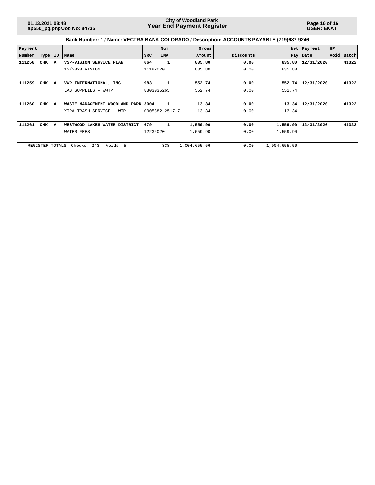**Page 16 of 16 USER: EKAT**

| Payment |                 |   |                                     |            | Num            | Gross        |           | Net          | Payment    | HP |            |
|---------|-----------------|---|-------------------------------------|------------|----------------|--------------|-----------|--------------|------------|----|------------|
| Number  | Type   ID       |   | Name                                | <b>SRC</b> | INV            | Amount       | Discounts |              | Pay   Date |    | Void Batch |
| 111258  | CHK             | A | VSP-VISION SERVICE PLAN             | 664        | 1              | 835.80       | 0.00      | 835.80       | 12/31/2020 |    | 41322      |
|         |                 |   | 12/2020 VISION                      | 11182020   |                | 835.80       | 0.00      | 835.80       |            |    |            |
|         |                 |   |                                     |            |                |              |           |              |            |    |            |
| 111259  | CHK             | A | VWR INTERNATIONAL, INC.             | 983        | 1              | 552.74       | 0.00      | 552.74       | 12/31/2020 |    | 41322      |
|         |                 |   | LAB SUPPLIES - WWTP                 | 8803035265 |                | 552.74       | 0.00      | 552.74       |            |    |            |
|         |                 |   |                                     |            |                |              |           |              |            |    |            |
| 111260  | CHK             | A | WASTE MANAGEMENT WOODLAND PARK 3004 |            | 1              | 13.34        | 0.00      | 13.34        | 12/31/2020 |    | 41322      |
|         |                 |   | XTRA TRASH SERVICE - WTP            |            | 0005882-2517-7 | 13.34        | 0.00      | 13.34        |            |    |            |
|         |                 |   |                                     |            |                |              |           |              |            |    |            |
| 111261  | CHK             | A | WESTWOOD LAKES WATER DISTRICT       | 679        | 1              | 1,559.90     | 0.00      | 1,559.90     | 12/31/2020 |    | 41322      |
|         |                 |   | WATER FEES                          | 12232020   |                | 1,559.90     | 0.00      | 1,559.90     |            |    |            |
|         |                 |   |                                     |            |                |              |           |              |            |    |            |
|         | REGISTER TOTALS |   | Voids: 5<br>Checks: 243             |            | 338            | 1,004,655.56 | 0.00      | 1,004,655.56 |            |    |            |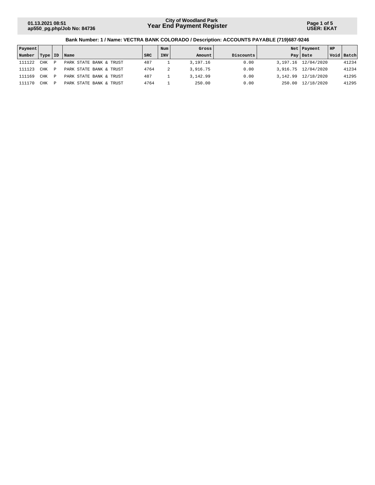**Page 1 of 5 USER: EKAT**

| Payment |            |   |                            |            | Num        | Gross      |           |          | Net   Payment         | HP |              |
|---------|------------|---|----------------------------|------------|------------|------------|-----------|----------|-----------------------|----|--------------|
| Number  | Type   ID  |   | Name                       | <b>SRC</b> | <b>INV</b> | Amount     | Discounts |          | Pay Date              |    | Void   Batch |
| 111122  | <b>CHK</b> | D | PARK STATE BANK & TRUST    | 487        |            | 3, 197. 16 | 0.00      |          | 3, 197, 16 12/04/2020 |    | 41234        |
| 111123  | <b>CHK</b> | P | PARK STATE BANK & TRUST    | 4764       |            | 3,916.75   | 0.00      |          | 3,916.75 12/04/2020   |    | 41234        |
| 111169  | <b>CHK</b> | P | BANK & TRUST<br>PARK STATE | 487        |            | 3,142.99   | 0.00      | 3,142.99 | 12/18/2020            |    | 41295        |
| 111170  | CHK        | P | PARK STATE BANK & TRUST    | 4764       |            | 250.00     | 0.00      | 250.00   | 12/18/2020            |    | 41295        |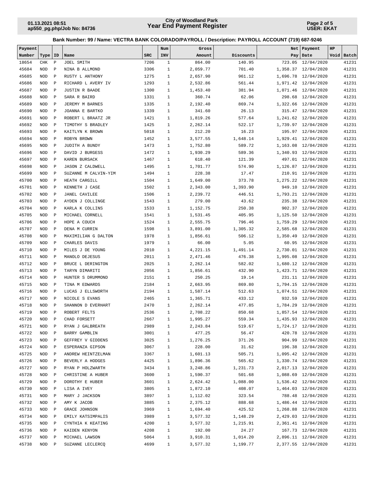**Page 2 of 5 USER: EKAT**

| Payment |            |              |                         |            | Num          | Gross    |           |          | Net   Payment       | HP |            |
|---------|------------|--------------|-------------------------|------------|--------------|----------|-----------|----------|---------------------|----|------------|
| Number  | Type   ID  |              | Name                    | <b>SRC</b> | INV          | Amount   | Discounts |          | Pay   Date          |    | Void Batch |
| 18654   | CHK        | $\, {\bf P}$ | JOEL SMITH              | 7206       | $\mathbf{1}$ | 864.00   | 140.95    |          | 723.05 12/04/2020   |    | 41231      |
| 45684   | <b>NOD</b> | $\mathbf P$  | NINA B ALLMOND          | 3306       | $1\,$        | 2,059.77 | 701.40    |          | 1,358.37 12/04/2020 |    | 41231      |
| 45685   | <b>NOD</b> | $\mathbf P$  | RUSTY L ANTHONY         | 1275       | $\mathbf{1}$ | 2,657.90 | 961.12    | 1,696.78 | 12/04/2020          |    | 41231      |
| 45686   | <b>NOD</b> | $\mathbf P$  | RICHARD L AVERY IV      | 1293       | $\mathbf{1}$ | 2,532.86 | 561.44    |          | 1,971.42 12/04/2020 |    | 41231      |
| 45687   | <b>NOD</b> | $\mathbf P$  | <b>JUSTIN R BAADE</b>   | 1300       | $\mathbf{1}$ | 1,453.40 | 381.94    |          | 1,071.46 12/04/2020 |    | 41231      |
| 45688   | <b>NOD</b> | $\mathbf P$  | SARA R BAIRD            | 1331       | $\mathbf{1}$ | 360.74   | 62.06     |          | 298.68 12/04/2020   |    | 41231      |
| 45689   | <b>NOD</b> | $\mathbf P$  | JEREMY M BARNES         | 1335       | $\mathbf{1}$ | 2,192.40 | 869.74    |          | 1,322.66 12/04/2020 |    | 41231      |
| 45690   | <b>NOD</b> | $\mathbf P$  | JOANNA E BARTKO         | 1339       | $\mathbf{1}$ | 341.60   | 26.13     |          | 315.47 12/04/2020   |    | 41231      |
| 45691   | <b>NOD</b> | $\mathbf P$  | ROBERT L BRAATZ JR      | 1421       | $\mathbf{1}$ | 1,819.26 | 577.64    |          | 1,241.62 12/04/2020 |    | 41231      |
| 45692   | <b>NOD</b> | $\mathbf P$  | TIMOTHY S BRADLEY       | 1425       | $\mathbf{1}$ | 2,262.14 | 522.17    |          | 1,739.97 12/04/2020 |    | 41231      |
| 45693   | <b>NOD</b> | $\mathbb P$  | KAITLYN K BROWN         | 5018       | $\mathbf{1}$ | 212.20   | 16.23     |          | 195.97 12/04/2020   |    | 41231      |
| 45694   | <b>NOD</b> | $\mathbf P$  | ROBYN BROWN             | 1452       | $\mathbf{1}$ | 3,577.55 | 1,648.14  |          | 1,929.41 12/04/2020 |    | 41231      |
| 45695   | <b>NOD</b> | $\mathbf{P}$ | JUDITH A BUNDY          | 1473       | $\mathbf{1}$ | 1,752.80 | 589.72    |          | 1,163.08 12/04/2020 |    | 41231      |
| 45696   | <b>NOD</b> | $\mathbf P$  | DAVID J BURGESS         | 1472       | $\mathbf{1}$ | 1,930.29 | 589.36    |          | 1,340.93 12/04/2020 |    | 41231      |
| 45697   | <b>NOD</b> | $\mathbf P$  | KAREN BURSACK           | 1467       | $\mathbf{1}$ | 618.40   | 121.39    |          | 497.01 12/04/2020   |    | 41231      |
| 45698   | <b>NOD</b> | $\mathbf P$  | <b>JASON Z CALDWELL</b> | 1495       | $\mathbf{1}$ | 1,701.77 | 574.90    |          | 1,126.87 12/04/2020 |    | 41231      |
| 45699   | <b>NOD</b> | $\mathbf P$  | SUZANNE M CALVIN-YIM    | 1494       | $\mathbf{1}$ | 228.38   | 17.47     |          | 210.91 12/04/2020   |    | 41231      |
| 45700   | <b>NOD</b> | $\mathbf P$  | HEATH CARGILL           | 1504       | $\mathbf{1}$ | 1,649.00 | 373.78    |          | 1,275.22 12/04/2020 |    | 41231      |
| 45701   | <b>NOD</b> | $\mathbf P$  | KENNETH J CASE          | 1502       | $\mathbf{1}$ | 2,343.00 | 1,393.90  |          | 949.10 12/04/2020   |    | 41231      |
| 45702   | <b>NOD</b> | $\mathbf P$  | <b>JANEL CAVILEE</b>    | 1506       | $\mathbf{1}$ | 2,239.72 | 446.51    |          | 1,793.21 12/04/2020 |    | 41231      |
| 45703   | <b>NOD</b> | $\mathbf P$  | AYDEN J COLLINGE        | 1543       | $\mathbf{1}$ | 279.00   | 43.62     | 235.38   | 12/04/2020          |    | 41231      |
| 45704   | <b>NOD</b> | $\mathbf P$  | KARLA K COLLINS         | 1533       | $\mathbf{1}$ | 1,152.75 | 250.38    |          | 902.37 12/04/2020   |    | 41231      |
| 45705   | <b>NOD</b> | $\mathbf P$  | MICHAEL CORNELL         | 1541       | $\mathbf{1}$ | 1,531.45 | 405.95    |          | 1,125.50 12/04/2020 |    | 41231      |
| 45706   | <b>NOD</b> | $\mathbf P$  | HOPE A COUCH            | 1524       | $\mathbf{1}$ | 2,555.75 | 796.46    |          | 1,759.29 12/04/2020 |    | 41231      |
| 45707   | <b>NOD</b> | $\mathbf P$  | DENA M CURRIN           | 1598       | $\mathbf{1}$ | 3,891.00 | 1,305.32  | 2,585.68 | 12/04/2020          |    | 41231      |
| 45708   | <b>NOD</b> | $\mathbf P$  | MAXIMILIAN G DALTON     | 1978       | $\mathbf{1}$ | 1,856.61 | 506.12    |          | 1,350.49 12/04/2020 |    | 41231      |
| 45709   | <b>NOD</b> | $\mathbf P$  | CHARLES DAVIS           | 1979       | $\mathbf{1}$ | 66.00    | 5.05      |          | 60.95 12/04/2020    |    | 41231      |
| 45710   | <b>NOD</b> | $\mathbf P$  | MILES J DE YOUNG        | 2010       | $\mathbf{1}$ | 4,221.15 | 1,491.14  |          | 2,730.01 12/04/2020 |    | 41231      |
| 45711   | <b>NOD</b> | $\mathbf P$  | MANOLO DEJESUS          | 2011       | $\mathbf{1}$ | 2,471.46 | 476.38    | 1,995.08 | 12/04/2020          |    | 41231      |
| 45712   | <b>NOD</b> | $\mathbf P$  | BRUCE L DERINGTON       | 2025       | $\mathbf{1}$ | 2,262.14 | 582.02    |          | 1,680.12 12/04/2020 |    | 41231      |
| 45713   | <b>NOD</b> | $\mathbf P$  | TARYN DIMARITI          | 2056       | $\mathbf{1}$ | 1,856.61 | 432.90    |          | 1,423.71 12/04/2020 |    | 41231      |
| 45714   | <b>NOD</b> | $\mathbf P$  | HUNTER S DRUMMOND       | 2151       | $\mathbf{1}$ | 250.25   | 19.14     |          | 231.11 12/04/2020   |    | 41231      |
| 45715   | <b>NOD</b> | $\mathbf P$  | TINA M EDWARDS          | 2184       | $\mathbf{1}$ | 2,663.95 | 869.80    |          | 1,794.15 12/04/2020 |    | 41231      |
| 45716   | <b>NOD</b> | $\mathbf P$  | LUCAS J ELLSWORTH       | 2194       | $\mathbf{1}$ | 1,587.14 | 512.63    |          | 1,074.51 12/04/2020 |    | 41231      |
| 45717   | <b>NOD</b> | $\mathbf P$  | NICOLE S EVANS          | 2465       | $\mathbf{1}$ | 1,365.71 | 433.12    |          | 932.59 12/04/2020   |    | 41231      |
| 45718   | <b>NOD</b> | $\mathbf{P}$ | SHANNON D EVERHART      | 2470       | $\mathbf{1}$ | 2,262.14 | 477.85    | 1,784.29 | 12/04/2020          |    | 41231      |
| 45719   | <b>NOD</b> | $\mathbf P$  | ROBERT FELTS            | 2536       | $\mathbf{1}$ | 2,708.22 | 850.68    |          | 1,857.54 12/04/2020 |    | 41231      |
| 45720   | NOD P      |              | CHAD FORSETT            | 2667       | $\mathbf{1}$ | 1,995.27 | 559.34    |          | 1,435.93 12/04/2020 |    | 41231      |
| 45721   | NOD        | $\mathbb{P}$ | RYAN J GALBREATH        | 2989       | $\mathbf{1}$ | 2,243.84 | 519.67    |          | 1,724.17 12/04/2020 |    | 41231      |
| 45722   | NOD        | $\mathbb{P}$ | BARRY GAMBLIN           | 3001       | $\mathbf{1}$ | 477.25   | 56.47     |          | 420.78 12/04/2020   |    | 41231      |
| 45723   | NOD        | $\mathbb{P}$ | GEFFREY V GIDDENS       | 3025       | $\mathbf{1}$ | 1,276.25 | 371.26    |          | 904.99 12/04/2020   |    | 41231      |
| 45724   | NOD        | $\mathbb{P}$ | ESPERANZA GIPSON        | 3067       | $\mathbf{1}$ | 228.00   | 31.62     |          | 196.38 12/04/2020   |    | 41231      |
| 45725   | NOD        | $\mathbb{P}$ | ANDREW HEINTZELMAN      | 3367       | $\mathbf{1}$ | 1,601.13 | 505.71    |          | 1,095.42 12/04/2020 |    | 41231      |
| 45726   | NOD        | $\mathbf P$  | BEVERLY A HODGES        | 4425       | $\mathbf{1}$ | 1,896.36 | 565.62    |          | 1,330.74 12/04/2020 |    | 41231      |
| 45727   | NOD        | $\mathbb{P}$ | RYAN P HOLZWARTH        | 3434       | 1            | 3,248.86 | 1,231.73  |          | 2,017.13 12/04/2020 |    | 41231      |
| 45728   | NOD        | $\mathbb P$  | CHRISTINE A HUBER       | 3600       | $\mathbf{1}$ | 1,590.37 | 501.68    |          | 1,088.69 12/04/2020 |    | 41231      |
| 45729   | NOD        | $\mathbb P$  | DOROTHY E HUBER         | 3601       | $\mathbf{1}$ | 2,624.42 | 1,088.00  |          | 1,536.42 12/04/2020 |    | 41231      |
| 45730   | NOD        | $\mathbf P$  | LISA A IVEY             | 3805       | $\mathbf{1}$ | 1,872.10 | 408.07    |          | 1,464.03 12/04/2020 |    | 41231      |
| 45731   | NOD        | $\mathbb{P}$ | MARY J JACKSON          | 3897       | $\mathbf{1}$ | 1,112.02 | 323.54    |          | 788.48 12/04/2020   |    | 41231      |
| 45732   | NOD        | $\mathbb{P}$ | AMY K JACOB             | 3885       | $\mathbf{1}$ | 2,375.12 | 888.68    |          | 1,486.44 12/04/2020 |    | 41231      |
| 45733   | NOD        | $\mathbb{P}$ | GRACE JOHNSON           | 3969       | $\mathbf{1}$ | 1,694.40 | 425.52    |          | 1,268.88 12/04/2020 |    | 41231      |
| 45734   | NOD        | $\mathbb{P}$ | EMILY KATSIMPALIS       | 3989       | $\mathbf{1}$ | 3,577.32 | 1,148.29  |          | 2,429.03 12/04/2020 |    | 41231      |
| 45735   | NOD        | $\mathbb{P}$ | CYNTHIA K KEATING       | 4200       | $\mathbf{1}$ | 3,577.32 | 1,215.91  |          | 2,361.41 12/04/2020 |    | 41231      |
| 45736   | NOD        | $\mathbb{P}$ | KAIDEN KENYON           | 4208       | $\mathbf{1}$ | 192.00   | 24.27     |          | 167.73 12/04/2020   |    | 41231      |
| 45737   | NOD        | $\mathbb P$  | MICHAEL LAWSON          | 5064       | $\mathbf{1}$ | 3,910.31 | 1,014.20  |          | 2,896.11 12/04/2020 |    | 41231      |
| 45738   | NOD        | $\mathbb{P}$ | SUZANNE LECLERCQ        | 4699       | $\mathbf{1}$ | 3,577.32 | 1,199.77  |          | 2,377.55 12/04/2020 |    | 41231      |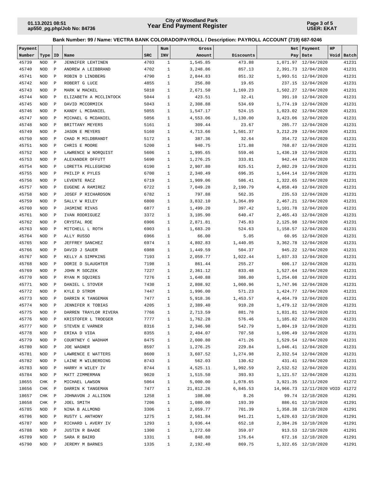**Page 3 of 5 USER: EKAT**

| Payment |              |              |                                     |            | Num          | Gross     |           | Net      | Payment                   | HP |            |
|---------|--------------|--------------|-------------------------------------|------------|--------------|-----------|-----------|----------|---------------------------|----|------------|
| Number  | Type         | ID           | Name                                | <b>SRC</b> | INV          | Amount    | Discounts |          | Pay Date                  |    | Void Batch |
| 45739   | <b>NOD</b>   | $\, {\bf P}$ | <b>JENNIFER LEHTINEN</b>            | 4703       | $\mathbf{1}$ | 1,545.85  | 473.88    |          | 1,071.97 12/04/2020       |    | 41231      |
| 45740   | <b>NOD</b>   | $\mathbf P$  | ANDREW A LEIBBRAND                  | 4702       | $\mathbf{1}$ | 3,248.86  | 857.13    |          | 2,391.73 12/04/2020       |    | 41231      |
| 45741   | <b>NOD</b>   | $\mathbf P$  | ROBIN D LINDBERG                    | 4790       | $\mathbf{1}$ | 2,844.83  | 851.32    |          | 1,993.51 12/04/2020       |    | 41231      |
| 45742   | <b>NOD</b>   | $\mathbf P$  | ROBERT G LUCE                       | 4855       | $\mathbf{1}$ | 256.80    | 19.65     |          | 237.15 12/04/2020         |    | 41231      |
| 45743   | <b>NOD</b>   | $\mathbf P$  | MARK W MACKEL                       | 5010       | $\mathbf{1}$ | 2,671.50  | 1,169.23  |          | 1,502.27 12/04/2020       |    | 41231      |
| 45744   | <b>NOD</b>   | $\mathbf P$  | ELIZABETH A MCCLINTOCK              | 5044       | $\mathbf{1}$ | 423.51    | 32.41     |          | 391.10 12/04/2020         |    | 41231      |
| 45745   | <b>NOD</b>   | $\mathbf P$  | DAVID MCCORMICK                     | 5043       | $\mathbf{1}$ | 2,308.88  | 534.69    |          | 1,774.19 12/04/2020       |    | 41231      |
| 45746   | <b>NOD</b>   | $\mathbf P$  | KANDY L MCDANIEL                    | 5055       | $\mathbf{1}$ | 1,547.17  | 524.15    |          | 1,023.02 12/04/2020       |    | 41231      |
| 45747   | <b>NOD</b>   | $\mathbf P$  | MICHAEL G MCDANIEL                  | 5056       | $\mathbf{1}$ | 4,553.06  | 1,130.00  |          | 3,423.06 12/04/2020       |    | 41231      |
| 45748   | <b>NOD</b>   | $\mathbf{P}$ | BRITTANY MEYERS                     | 5161       | $\mathbf{1}$ | 309.44    | 23.67     |          | 285.77 12/04/2020         |    | 41231      |
| 45749   | <b>NOD</b>   | $\mathbf P$  | <b>JASON E MEYERS</b>               | 5160       | $\mathbf{1}$ | 4,713.66  | 1,501.37  | 3,212.29 | 12/04/2020                |    | 41231      |
| 45750   | <b>NOD</b>   | $\mathbf{P}$ | CHAD M MILDBRANDT                   | 5172       | $\mathbf{1}$ | 387.36    | 32.64     |          | 354.72 12/04/2020         |    | 41231      |
| 45751   | <b>NOD</b>   | $\mathbf{P}$ | CHRIS E MOORE                       | 5200       | $\mathbf{1}$ | 940.75    | 171.88    |          | 768.87 12/04/2020         |    | 41231      |
| 45752   | <b>NOD</b>   | $\mathbf{P}$ | LAWRENCE W NORQUIST                 | 5606       | $\mathbf{1}$ | 1,995.65  | 559.46    |          | 1,436.19 12/04/2020       |    | 41231      |
| 45753   | <b>NOD</b>   | $\, {\bf P}$ | ALEXANDER OFFUTT                    | 5690       | $\mathbf{1}$ | 1,276.25  | 333.81    |          | 942.44 12/04/2020         |    | 41231      |
| 45754   | <b>NOD</b>   | $\mathbb{P}$ | LORETTA PELLEGRINO                  | 6190       | $\mathbf{1}$ | 2,907.80  | 825.51    |          | 2,082.29 12/04/2020       |    | 41231      |
| 45755   | <b>NOD</b>   | $\mathbf P$  | PHILIP K PYLES                      | 6700       | $\mathbf{1}$ | 2,340.49  | 696.35    |          | 1,644.14 12/04/2020       |    | 41231      |
| 45756   | <b>NOD</b>   | $\mathbf P$  | LEVENTE RACZ                        | 6719       | $\mathbf{1}$ | 1,909.06  | 586.41    |          | 1,322.65 12/04/2020       |    | 41231      |
| 45757   | <b>NOD</b>   | $\mathbf P$  | EUGENE A RAMIREZ                    | 6722       | $\mathbf{1}$ | 7,049.28  | 2,190.79  |          | 4,858.49 12/04/2020       |    | 41231      |
| 45758   | <b>NOD</b>   | $\mathbf P$  | JOSEF P RICHARDSON                  | 6782       | $\mathbf{1}$ | 797.88    | 562.35    |          | 235.53 12/04/2020         |    | 41231      |
| 45759   | <b>NOD</b>   | $\mathbf P$  | SALLY W RILEY                       | 6800       | $\mathbf{1}$ | 3,832.10  | 1,364.89  |          | 2,467.21 12/04/2020       |    | 41231      |
| 45760   | <b>NOD</b>   | $\mathbf P$  | <b>JASMINE RIVAS</b>                | 6877       | $\mathbf{1}$ | 1,499.20  | 397.42    |          | 1,101.78 12/04/2020       |    | 41231      |
| 45761   | <b>NOD</b>   | $\mathbf P$  | IVAN RODRIGUEZ                      | 3372       | $\mathbf{1}$ | 3,105.90  | 640.47    |          | 2,465.43 12/04/2020       |    | 41231      |
| 45762   | <b>NOD</b>   | $\mathbf P$  | CRYSTAL ROE                         | 6906       | $\mathbf{1}$ | 2,871.81  | 745.83    |          | 2,125.98 12/04/2020       |    | 41231      |
| 45763   | <b>NOD</b>   | $\mathbf P$  | MITCHELL L ROTH                     | 6903       | $\mathbf{1}$ | 1,683.20  | 524.63    |          | 1,158.57 12/04/2020       |    | 41231      |
| 45764   | <b>NOD</b>   | $\mathbf P$  | ALLY RUSSO                          | 6966       | $\mathbf{1}$ | 66.00     | 5.05      |          | 60.95 12/04/2020          |    | 41231      |
| 45765   | <b>NOD</b>   | $\mathbf P$  | JEFFREY SANCHEZ                     | 6974       | $\mathbf{1}$ | 4,802.83  | 1,440.05  |          | 3,362.78 12/04/2020       |    | 41231      |
| 45766   | <b>NOD</b>   | $\mathbf P$  | DAVID J SAUER                       | 6988       | $\mathbf{1}$ | 1,449.59  | 504.37    |          | 945.22 12/04/2020         |    | 41231      |
| 45767   | <b>NOD</b>   | $\mathbf P$  | KELLY A SIMPKINS                    | 7193       | $\mathbf{1}$ | 2,059.77  | 1,022.44  |          | 1,037.33 12/04/2020       |    | 41231      |
| 45768   | <b>NOD</b>   | $\mathbf P$  | DORIE D SLAUGHTER                   | 7198       | $\mathbf{1}$ | 861.44    | 255.27    |          | 606.17 12/04/2020         |    | 41231      |
| 45769   | <b>NOD</b>   | $\mathbf{P}$ | JOHN M SOCZEK                       | 7227       | $\mathbf{1}$ | 2,361.12  | 833.48    |          | 1,527.64 12/04/2020       |    | 41231      |
| 45770   | <b>NOD</b>   | $\mathbf{P}$ | RYAN M SQUIRES                      | 7276       | $\mathbf{1}$ | 1,640.88  | 386.80    |          | 1,254.08 12/04/2020       |    | 41231      |
| 45771   | <b>NOD</b>   | $\, {\bf P}$ | DANIEL L STOVER                     | 7430       | $\mathbf{1}$ | 2,808.92  | 1,060.96  |          | 1,747.96 12/04/2020       |    | 41231      |
| 45772   | <b>NOD</b>   | $\, {\bf P}$ | KYLE D STROM                        | 7447       | $\mathbf{1}$ | 1,996.00  | 571.23    |          | 1,424.77 12/04/2020       |    | 41231      |
| 45773   | <b>NOD</b>   | $\mathbf{P}$ | DARRIN K TANGEMAN                   | 7477       | $\mathbf{1}$ | 5,918.36  | 1,453.57  |          | 4,464.79 12/04/2020       |    | 41231      |
| 45774   | <b>NOD</b>   | $\mathbf P$  | JENNIFER K TOBIAS                   | 4205       | $\mathbf{1}$ | 2,389.40  | 910.28    |          | 1,479.12 12/04/2020       |    | 41231      |
| 45775   | <b>NOD</b>   | $\mathbf{P}$ | DARREN TRAYLOR RIVERA               | 7766       | $\mathbf{1}$ | 2,713.59  | 881.78    |          | 1,831.81 12/04/2020       |    | 41231      |
| 45776   | NOD          | $\mathbf{P}$ | KRISTOFER L TROEGER                 | 7777       | $\mathbf{1}$ | 1,762.28  | 576.46    |          | 1,185.82 12/04/2020       |    | 41231      |
| 45777   | NOD P        |              | STEVEN E VARNER                     | 8316       | $\mathbf{1}$ | 2,346.98  | 542.79    |          | 1,804.19 12/04/2020       |    | 41231      |
| 45778   | NOD P        |              | ERIKA D VIDA                        | 8355       | $\mathbf{1}$ | 2,404.07  | 707.58    |          | 1,696.49 12/04/2020       |    | 41231      |
| 45779   | NOD          | $\mathbb{P}$ | COURTNEY C WADHAM                   | 8475       | $\mathbf{1}$ | 2,000.80  | 471.26    |          | 1,529.54 12/04/2020       |    | 41231      |
| 45780   | NOD          | $\mathbf{P}$ | JOE WAGNER                          | 8597       | $\mathbf{1}$ | 1,276.25  | 229.84    |          | 1,046.41 12/04/2020       |    | 41231      |
| 45781   | NOD          | $\mathbf{P}$ | LAWRENCE E WATTERS                  | 8600       | $\mathbf{1}$ | 3,607.52  | 1,274.98  |          | 2,332.54 12/04/2020       |    | 41231      |
| 45782   | NOD          | $\mathbb{P}$ | LAINE M WILBERDING                  | 8743       | $\mathbf{1}$ | 562.03    | 130.62    |          | 431.41 12/04/2020         |    | 41231      |
| 45783   | NOD          | $\mathbb{P}$ | HARRY H WILEY IV                    | 8744       | $\mathbf{1}$ | 4,525.11  | 1,992.59  |          | 2,532.52 12/04/2020       |    | 41231      |
| 45784   | NOD          | $\mathbb{P}$ | MATT ZIMMERMAN                      | 9020       | $\mathbf{1}$ | 1,515.50  | 393.93    |          | 1, 121.57 12/04/2020      |    | 41231      |
| 18655   |              | $\mathbb{P}$ |                                     | 5064       | $\mathbf{1}$ | 5,000.00  | 1,078.65  |          | 3,921.35 12/11/2020       |    | 41272      |
|         | CHK          |              | MICHAEL LAWSON<br>DARRIN K TANGEMAN | 7477       |              |           |           |          | 14,966.73 12/11/2020 VOID |    |            |
| 18656   | CHK<br>CHK P | $\mathbb{P}$ |                                     | 1258       | $\mathbf{1}$ | 21,812.26 | 6,845.53  |          | 99.74 12/18/2020          |    | 41272      |
| 18657   |              |              | JOHNAVON J ALLISON                  | 7206       | $\mathbf{1}$ | 108.00    | 8.26      |          |                           |    | 41291      |
| 18658   | CHK P        |              | JOEL SMITH                          |            | $\mathbf{1}$ | 1,080.00  | 193.39    |          | 886.61 12/18/2020         |    | 41291      |
| 45785   | NOD          | $\mathbb{P}$ | NINA B ALLMOND                      | 3306       | $\mathbf{1}$ | 2,059.77  | 701.39    |          | 1,358.38 12/18/2020       |    | 41291      |
| 45786   | NOD          | $\mathbb{P}$ | RUSTY L ANTHONY                     | 1275       | $\mathbf{1}$ | 2,561.84  | 941.21    |          | 1,620.63 12/18/2020       |    | 41291      |
| 45787   | NOD          | $\mathbb{P}$ | RICHARD L AVERY IV                  | 1293       | $\mathbf{1}$ | 3,036.44  | 652.18    |          | 2,384.26 12/18/2020       |    | 41291      |
| 45788   | NOD          | $\mathbb{P}$ | JUSTIN R BAADE                      | 1300       | $\mathbf{1}$ | 1,272.60  | 359.07    |          | 913.53 12/18/2020         |    | 41291      |
| 45789   | NOD          | $\mathbb{P}$ | SARA R BAIRD                        | 1331       | $\mathbf{1}$ | 848.80    | 176.64    |          | 672.16 12/18/2020         |    | 41291      |
| 45790   | NOD          | $\mathbb{P}$ | JEREMY M BARNES                     | 1335       | $\mathbf{1}$ | 2,192.40  | 869.75    |          | 1,322.65 12/18/2020       |    | 41291      |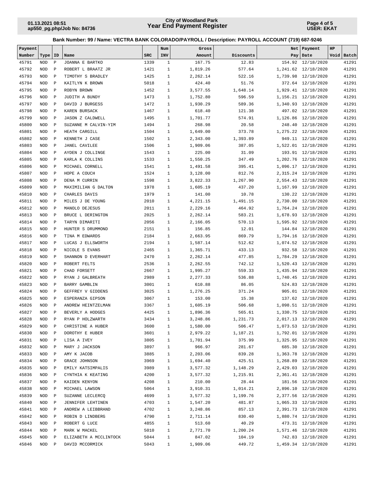**Page 4 of 5 USER: EKAT**

| Payment |            |              |                         |            | Num          | Gross    |           |          | Net   Payment        | HP |            |
|---------|------------|--------------|-------------------------|------------|--------------|----------|-----------|----------|----------------------|----|------------|
| Number  | Type       | ID           | Name                    | <b>SRC</b> | INV          | Amount   | Discounts |          | Pay   Date           |    | Void Batch |
| 45791   | <b>NOD</b> | $\mathbf P$  | JOANNA E BARTKO         | 1339       | $\mathbf{1}$ | 167.75   | 12.83     |          | 154.92 12/18/2020    |    | 41291      |
| 45792   | <b>NOD</b> | $\mathbf P$  | ROBERT L BRAATZ JR      | 1421       | $\mathbf{1}$ | 1,819.26 | 577.64    |          | 1,241.62 12/18/2020  |    | 41291      |
| 45793   | <b>NOD</b> | $\mathbf P$  | TIMOTHY S BRADLEY       | 1425       | $\mathbf{1}$ | 2,262.14 | 522.16    |          | 1,739.98 12/18/2020  |    | 41291      |
| 45794   | <b>NOD</b> | $\mathbf P$  | KAITLYN K BROWN         | 5018       | $\mathbf{1}$ | 424.40   | 51.76     |          | 372.64 12/18/2020    |    | 41291      |
| 45795   | <b>NOD</b> | $\mathbf P$  | ROBYN BROWN             | 1452       | $\mathbf{1}$ | 3,577.55 | 1,648.14  |          | 1,929.41 12/18/2020  |    | 41291      |
| 45796   | <b>NOD</b> | $\mathbf P$  | JUDITH A BUNDY          | 1473       | $\mathbf{1}$ | 1,752.80 | 596.59    |          | 1, 156.21 12/18/2020 |    | 41291      |
| 45797   | <b>NOD</b> | $\mathbf P$  | DAVID J BURGESS         | 1472       | $\mathbf{1}$ | 1,930.29 | 589.36    |          | 1,340.93 12/18/2020  |    | 41291      |
| 45798   | <b>NOD</b> | $\mathbf P$  | KAREN BURSACK           | 1467       | $\mathbf{1}$ | 618.40   | 121.38    |          | 497.02 12/18/2020    |    | 41291      |
| 45799   | <b>NOD</b> | $\mathbf P$  | <b>JASON Z CALDWELL</b> | 1495       | $\mathbf{1}$ | 1,701.77 | 574.91    |          | 1,126.86 12/18/2020  |    | 41291      |
| 45800   | <b>NOD</b> | $\mathbf P$  | SUZANNE M CALVIN-YIM    | 1494       | $\mathbf{1}$ | 268.98   | 20.58     |          | 248.40 12/18/2020    |    | 41291      |
| 45801   | <b>NOD</b> | $\mathbf P$  | HEATH CARGILL           | 1504       | $\mathbf{1}$ | 1,649.00 | 373.78    |          | 1,275.22 12/18/2020  |    | 41291      |
| 45802   | <b>NOD</b> | $\mathbf P$  | KENNETH J CASE          | 1502       | $\mathbf{1}$ | 2,343.00 | 1,393.89  |          | 949.11 12/18/2020    |    | 41291      |
| 45803   | <b>NOD</b> | $\mathbf{P}$ | <b>JANEL CAVILEE</b>    | 1506       | $\mathbf{1}$ | 1,909.06 | 387.05    |          | 1,522.01 12/18/2020  |    | 41291      |
| 45804   | <b>NOD</b> | $\mathbf P$  | AYDEN J COLLINGE        | 1543       | $\mathbf{1}$ | 225.00   | 31.09     |          | 193.91 12/18/2020    |    | 41291      |
| 45805   | <b>NOD</b> | $\mathbf P$  | KARLA K COLLINS         | 1533       | $\mathbf{1}$ | 1,550.25 | 347.49    |          | 1,202.76 12/18/2020  |    | 41291      |
| 45806   | <b>NOD</b> | $\mathbf P$  | MICHAEL CORNELL         | 1541       | $\mathbf{1}$ | 1,491.58 | 395.41    |          | 1,096.17 12/18/2020  |    | 41291      |
| 45807   | <b>NOD</b> | $\mathbf{P}$ | HOPE A COUCH            | 1524       | $\mathbf{1}$ | 3,128.00 | 812.76    |          | 2,315.24 12/18/2020  |    | 41291      |
| 45808   | <b>NOD</b> | $\mathbf P$  | DENA M CURRIN           | 1598       | $\mathbf{1}$ | 3,822.33 | 1,267.90  |          | 2,554.43 12/18/2020  |    | 41291      |
| 45809   | <b>NOD</b> | $\mathbf P$  | MAXIMILIAN G DALTON     | 1978       | $\mathbf{1}$ | 1,605.19 | 437.20    |          | 1,167.99 12/18/2020  |    | 41291      |
| 45810   | <b>NOD</b> | $\mathbf P$  | CHARLES DAVIS           | 1979       | $\mathbf{1}$ | 141.00   | 10.78     |          | 130.22 12/18/2020    |    | 41291      |
| 45811   | <b>NOD</b> | $\mathbf P$  | MILES J DE YOUNG        | 2010       | $\mathbf{1}$ | 4,221.15 | 1,491.15  |          | 2,730.00 12/18/2020  |    | 41291      |
| 45812   | <b>NOD</b> | $\mathbf P$  | MANOLO DEJESUS          | 2011       | $\mathbf{1}$ | 2,229.16 | 464.92    |          | 1,764.24 12/18/2020  |    | 41291      |
| 45813   | <b>NOD</b> | $\mathbf P$  | BRUCE L DERINGTON       | 2025       | $\mathbf{1}$ | 2,262.14 | 583.21    |          | 1,678.93 12/18/2020  |    | 41291      |
| 45814   | <b>NOD</b> | $\mathbf P$  | TARYN DIMARITI          | 2056       | $\mathbf{1}$ | 2,166.05 | 570.13    |          | 1,595.92 12/18/2020  |    | 41291      |
| 45815   | <b>NOD</b> | $\mathbf P$  | HUNTER S DRUMMOND       | 2151       | $\mathbf{1}$ | 156.85   | 12.01     |          | 144.84 12/18/2020    |    | 41291      |
| 45816   | <b>NOD</b> | $\mathbf P$  | TINA M EDWARDS          | 2184       | $\mathbf{1}$ | 2,663.95 | 869.79    |          | 1,794.16 12/18/2020  |    | 41291      |
| 45817   | <b>NOD</b> | $\mathbf P$  | LUCAS J ELLSWORTH       | 2194       | $\mathbf{1}$ | 1,587.14 | 512.62    |          | 1,074.52 12/18/2020  |    | 41291      |
| 45818   | <b>NOD</b> | $\mathbf P$  | NICOLE S EVANS          | 2465       | $\mathbf{1}$ | 1,365.71 | 433.13    |          | 932.58 12/18/2020    |    | 41291      |
| 45819   | <b>NOD</b> | $\mathbf P$  | SHANNON D EVERHART      | 2470       | $\mathbf{1}$ | 2,262.14 | 477.85    | 1,784.29 | 12/18/2020           |    | 41291      |
| 45820   | <b>NOD</b> | $\mathbf P$  | ROBERT FELTS            | 2536       | $\mathbf{1}$ | 2,262.55 | 742.12    |          | 1,520.43 12/18/2020  |    | 41291      |
| 45821   | <b>NOD</b> | $\mathbf P$  | CHAD FORSETT            | 2667       | $\mathbf{1}$ | 1,995.27 | 559.33    |          | 1,435.94 12/18/2020  |    | 41291      |
| 45822   | <b>NOD</b> | $\mathbf P$  | RYAN J GALBREATH        | 2989       | $\mathbf{1}$ | 2,277.33 | 536.88    |          | 1,740.45 12/18/2020  |    | 41291      |
| 45823   | <b>NOD</b> | $\mathbf P$  | BARRY GAMBLIN           | 3001       | $\mathbf{1}$ | 610.88   | 86.05     |          | 524.83 12/18/2020    |    | 41291      |
| 45824   | <b>NOD</b> | $\mathbf P$  | GEFFREY V GIDDENS       | 3025       | $\mathbf{1}$ | 1,276.25 | 371.24    |          | 905.01 12/18/2020    |    | 41291      |
| 45825   | <b>NOD</b> | $\mathbf{P}$ | ESPERANZA GIPSON        | 3067       | $\mathbf{1}$ | 153.00   | 15.38     |          | 137.62 12/18/2020    |    | 41291      |
| 45826   | <b>NOD</b> | $\mathbf{P}$ | ANDREW HEINTZELMAN      | 3367       | $\mathbf{1}$ | 1,605.19 | 506.68    |          | 1,098.51 12/18/2020  |    | 41291      |
| 45827   | <b>NOD</b> | $\mathbf P$  | BEVERLY A HODGES        | 4425       | $\mathbf{1}$ | 1,896.36 | 565.61    |          | 1,330.75 12/18/2020  |    | 41291      |
| 45828   | NOD P      |              | RYAN P HOLZWARTH        | 3434       | $\mathbf{1}$ | 3,248.86 | 1,231.73  |          | 2,017.13 12/18/2020  |    | 41291      |
| 45829   | NOD        | $\mathbf{P}$ | CHRISTINE A HUBER       | 3600       | $\mathbf{1}$ | 1,580.00 | 506.47    |          | 1,073.53 12/18/2020  |    | 41291      |
| 45830   | NOD        | $\mathbb{P}$ | DOROTHY E HUBER         | 3601       | $\mathbf{1}$ | 2,979.22 | 1,187.21  |          | 1,792.01 12/18/2020  |    | 41291      |
| 45831   | NOD        | $\mathbb{P}$ | LISA A IVEY             | 3805       | $\mathbf{1}$ | 1,701.94 | 375.99    |          | 1,325.95 12/18/2020  |    | 41291      |
| 45832   | NOD        | $\mathbb{P}$ | MARY J JACKSON          | 3897       | 1            | 966.97   | 281.67    |          | 685.30 12/18/2020    |    | 41291      |
| 45833   | NOD        | $\mathbb{P}$ | AMY K JACOB             | 3885       | $\mathbf{1}$ | 2,203.06 | 839.28    |          | 1,363.78 12/18/2020  |    | 41291      |
| 45834   | NOD        | $\mathbf P$  | GRACE JOHNSON           | 3969       | $\mathbf{1}$ | 1,694.40 | 425.51    |          | 1,268.89 12/18/2020  |    | 41291      |
| 45835   | NOD        | $\mathbb{P}$ | EMILY KATSIMPALIS       | 3989       | $\mathbf{1}$ | 3,577.32 | 1,148.29  |          | 2,429.03 12/18/2020  |    | 41291      |
| 45836   | NOD        | $\mathbb P$  | CYNTHIA K KEATING       | 4200       | $\mathbf{1}$ | 3,577.32 | 1,215.91  |          | 2,361.41 12/18/2020  |    | 41291      |
| 45837   | NOD        | $\mathbb P$  | KAIDEN KENYON           | 4208       | $\mathbf{1}$ | 210.00   | 28.44     |          | 181.56 12/18/2020    |    | 41291      |
| 45838   | NOD        | $\mathbf{P}$ | MICHAEL LAWSON          | 5064       | $\mathbf{1}$ | 3,910.31 | 1,014.21  |          | 2,896.10 12/18/2020  |    | 41291      |
| 45839   | NOD        | $\mathbb{P}$ | SUZANNE LECLERCQ        | 4699       | $\mathbf{1}$ | 3,577.32 | 1,199.76  |          | 2,377.56 12/18/2020  |    | 41291      |
| 45840   | NOD        | $\mathbb{P}$ | JENNIFER LEHTINEN       | 4703       | $\mathbf{1}$ | 1,547.20 | 481.87    |          | 1,065.33 12/18/2020  |    | 41291      |
| 45841   | NOD        | $\mathbb{P}$ | ANDREW A LEIBBRAND      | 4702       | $\mathbf{1}$ | 3,248.86 | 857.13    |          | 2,391.73 12/18/2020  |    | 41291      |
| 45842   | NOD        | $\mathbb{P}$ | ROBIN D LINDBERG        | 4790       | 1            | 2,711.14 | 830.40    |          | 1,880.74 12/18/2020  |    | 41291      |
| 45843   | NOD        | $\mathbb{P}$ | ROBERT G LUCE           | 4855       | $\mathbf{1}$ | 513.60   | 40.29     |          | 473.31 12/18/2020    |    | 41291      |
| 45844   | NOD        | $\mathbb{P}$ | MARK W MACKEL           | 5010       | $\mathbf{1}$ | 2,771.70 | 1,200.24  |          | 1,571.46 12/18/2020  |    | 41291      |
| 45845   | NOD        | $\mathbb P$  | ELIZABETH A MCCLINTOCK  | 5044       | $\mathbf{1}$ | 847.02   | 104.19    |          | 742.83 12/18/2020    |    | 41291      |
| 45846   | NOD        | $\mathbf{P}$ | DAVID MCCORMICK         | 5043       | 1            | 1,909.06 | 449.72    |          | 1,459.34 12/18/2020  |    | 41291      |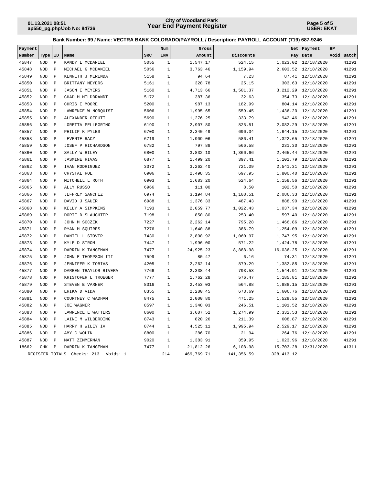**Page 5 of 5 USER: EKAT**

| Payment |                 |                |                         |            | Num          | Gross      |            | Net         | Payment             | HP |            |
|---------|-----------------|----------------|-------------------------|------------|--------------|------------|------------|-------------|---------------------|----|------------|
| Number  | Type            | ID             | Name                    | <b>SRC</b> | INV          | Amount     | Discounts  | Pay         | Date                |    | Void Batch |
| 45847   | <b>NOD</b>      | $\, {\bf P}$   | KANDY L MCDANIEL        | 5055       | $\mathbf{1}$ | 1,547.17   | 524.15     | 1,023.02    | 12/18/2020          |    | 41291      |
| 45848   | <b>NOD</b>      | $\mathbf{P}$   | MICHAEL G MCDANIEL      | 5056       | $\mathbf{1}$ | 3,763.46   | 1,159.94   |             | 2,603.52 12/18/2020 |    | 41291      |
| 45849   | <b>NOD</b>      | $\, {\bf p}$   | KENNETH J MERENDA       | 5158       | $1\,$        | 94.64      | 7.23       |             | 87.41 12/18/2020    |    | 41291      |
| 45850   | <b>NOD</b>      | $\mathbf P$    | BRITTANY MEYERS         | 5161       | $1\,$        | 328.78     | 25.15      | 303.63      | 12/18/2020          |    | 41291      |
| 45851   | <b>NOD</b>      | $\mathbf{P}$   | <b>JASON E MEYERS</b>   | 5160       | $\mathbf{1}$ | 4,713.66   | 1,501.37   | 3,212.29    | 12/18/2020          |    | 41291      |
| 45852   | <b>NOD</b>      | $\, {\bf p}$   | CHAD M MILDBRANDT       | 5172       | $\mathbf{1}$ | 387.36     | 32.63      | 354.73      | 12/18/2020          |    | 41291      |
| 45853   | <b>NOD</b>      | $\mathbf{P}$   | CHRIS E MOORE           | 5200       | $\mathbf{1}$ | 987.13     | 182.99     |             | 804.14 12/18/2020   |    | 41291      |
| 45854   | <b>NOD</b>      | $\mathbf{P}$   | LAWRENCE W NORQUIST     | 5606       | $\mathbf{1}$ | 1,995.65   | 559.45     | 1,436.20    | 12/18/2020          |    | 41291      |
| 45855   | <b>NOD</b>      | $\, {\bf P}$   | ALEXANDER OFFUTT        | 5690       | $\mathbf{1}$ | 1,276.25   | 333.79     | 942.46      | 12/18/2020          |    | 41291      |
| 45856   | <b>NOD</b>      | $\mathbf P$    | LORETTA PELLEGRINO      | 6190       | $\mathbf{1}$ | 2,907.80   | 825.51     | 2,082.29    | 12/18/2020          |    | 41291      |
| 45857   | <b>NOD</b>      | $\mathbf P$    | PHILIP K PYLES          | 6700       | $\mathbf{1}$ | 2,340.49   | 696.34     | 1,644.15    | 12/18/2020          |    | 41291      |
| 45858   | <b>NOD</b>      | $\mathbf{P}$   | LEVENTE RACZ            | 6719       | $\mathbf{1}$ | 1,909.06   | 586.41     | 1,322.65    | 12/18/2020          |    | 41291      |
| 45859   | <b>NOD</b>      | $\mathbf{P}$   | JOSEF P RICHARDSON      | 6782       | $\mathbf{1}$ | 797.88     | 566.58     | 231.30      | 12/18/2020          |    | 41291      |
| 45860   | <b>NOD</b>      | $\mathbf P$    | SALLY W RILEY           | 6800       | $\mathbf{1}$ | 3,832.10   | 1,366.66   |             | 2,465.44 12/18/2020 |    | 41291      |
| 45861   | <b>NOD</b>      | $\mathbf{P}$   | <b>JASMINE RIVAS</b>    | 6877       | $\mathbf{1}$ | 1,499.20   | 397.41     | 1,101.79    | 12/18/2020          |    | 41291      |
| 45862   | <b>NOD</b>      | $\mathbf P$    | IVAN RODRIGUEZ          | 3372       | $\mathbf{1}$ | 3,262.40   | 721.09     |             | 2,541.31 12/18/2020 |    | 41291      |
| 45863   | <b>NOD</b>      | $\mathbf P$    | CRYSTAL ROE             | 6906       | $\mathbf{1}$ | 2,498.35   | 697.95     | 1,800.40    | 12/18/2020          |    | 41291      |
| 45864   | <b>NOD</b>      | $\mathbf{P}$   | MITCHELL L ROTH         | 6903       | $\mathbf{1}$ | 1,683.20   | 524.64     | 1,158.56    | 12/18/2020          |    | 41291      |
| 45865   | <b>NOD</b>      | $\mathbf P$    | ALLY RUSSO              | 6966       | $\mathbf{1}$ | 111.00     | 8.50       | 102.50      | 12/18/2020          |    | 41291      |
| 45866   | <b>NOD</b>      | $\, {\bf P}$   | JEFFREY SANCHEZ         | 6974       | $\mathbf{1}$ | 3,194.84   | 1,108.51   | 2,086.33    | 12/18/2020          |    | 41291      |
| 45867   | <b>NOD</b>      | $\mathbf{P}$   | DAVID J SAUER           | 6988       | $\mathbf{1}$ | 1,376.33   | 487.43     | 888.90      | 12/18/2020          |    | 41291      |
| 45868   | <b>NOD</b>      | $\mathbf P$    | KELLY A SIMPKINS        | 7193       | $\mathbf{1}$ | 2,059.77   | 1,022.43   |             | 1,037.34 12/18/2020 |    | 41291      |
| 45869   | <b>NOD</b>      | $\mathbf P$    | DORIE D SLAUGHTER       | 7198       | $\mathbf 1$  | 850.80     | 253.40     | 597.40      | 12/18/2020          |    | 41291      |
| 45870   | <b>NOD</b>      | $\mathbf P$    | JOHN M SOCZEK           | 7227       | $\mathbf{1}$ | 2,262.14   | 795.28     | 1,466.86    | 12/18/2020          |    | 41291      |
| 45871   | <b>NOD</b>      | $\, {\bf P}$   | RYAN M SOUIRES          | 7276       | $\mathbf{1}$ | 1,640.88   | 386.79     | 1,254.09    | 12/18/2020          |    | 41291      |
| 45872   | <b>NOD</b>      | $\mathbf{P}$   | DANIEL L STOVER         | 7430       | $\mathbf{1}$ | 2,808.92   | 1,060.97   | 1,747.95    | 12/18/2020          |    | 41291      |
| 45873   | <b>NOD</b>      | $\mathbf P$    | KYLE D STROM            | 7447       | $\mathbf{1}$ | 1,996.00   | 571.22     | 1,424.78    | 12/18/2020          |    | 41291      |
| 45874   | <b>NOD</b>      | $\mathbf P$    | DARRIN K TANGEMAN       | 7477       | $\mathbf{1}$ | 24,925.23  | 8,888.98   | 16,036.25   | 12/18/2020          |    | 41291      |
| 45875   | <b>NOD</b>      | $\mathbf{P}$   | JOHN E THOMPSON III     | 7599       | $\mathbf{1}$ | 80.47      | 6.16       |             | 74.31 12/18/2020    |    | 41291      |
| 45876   | <b>NOD</b>      | $\mathbf P$    | JENNIFER K TOBIAS       | 4205       | $1\,$        | 2,262.14   | 879.29     | 1,382.85    | 12/18/2020          |    | 41291      |
| 45877   | <b>NOD</b>      | $\, {\bf P}$   | DARREN TRAYLOR RIVERA   | 7766       | $\mathbf{1}$ | 2,338.44   | 793.53     |             | 1,544.91 12/18/2020 |    | 41291      |
| 45878   | <b>NOD</b>      | $\mathbf{P}$   | KRISTOFER L TROEGER     | 7777       | $\mathbf{1}$ | 1,762.28   | 576.47     |             | 1,185.81 12/18/2020 |    | 41291      |
| 45879   | <b>NOD</b>      | $\, {\bf P}$   | STEVEN E VARNER         | 8316       | $\mathbf{1}$ | 2,453.03   | 564.88     | 1,888.15    | 12/18/2020          |    | 41291      |
| 45880   | $\rm NOD$       | $\, {\bf P}$   | ERIKA D VIDA            | 8355       | $1\,$        | 2,280.45   | 673.69     |             | 1,606.76 12/18/2020 |    | 41291      |
| 45881   | <b>NOD</b>      | $\mathbf{P}$   | COURTNEY C WADHAM       | 8475       | $\mathbf{1}$ | 2,000.80   | 471.25     | 1,529.55    | 12/18/2020          |    | 41291      |
| 45882   | <b>NOD</b>      | $\, {\bf P}$   | JOE WAGNER              | 8597       | $\mathbf{1}$ | 1,348.03   | 246.51     |             | 1,101.52 12/18/2020 |    | 41291      |
| 45883   | <b>NOD</b>      | $\mathbf P$    | LAWRENCE E WATTERS      | 8600       | $1\,$        | 3,607.52   | 1,274.99   |             | 2,332.53 12/18/2020 |    | 41291      |
| 45884   | <b>NOD</b>      | $\mathbf{P}$   | LAINE M WILBERDING      | 8743       | $\mathbf{1}$ | 820.26     | 211.39     | 608.87      | 12/18/2020          |    | 41291      |
| 45885   | <b>NOD</b>      | $\, {\bf P}$   | HARRY H WILEY IV        | 8744       | $\mathbf{1}$ | 4,525.11   | 1,995.94   | 2,529.17    | 12/18/2020          |    | 41291      |
| 45886   | <b>NOD</b>      | $\mathbf P$    | AMY C WOLIN             | 8800       | $\mathbf{1}$ | 286.70     | 21.94      | 264.76      | 12/18/2020          |    | 41291      |
| 45887   | <b>NOD</b>      | $\overline{P}$ | MATT ZIMMERMAN          | 9020       | $\mathbf{1}$ | 1,383.91   | 359.95     | 1,023.96    | 12/18/2020          |    | 41291      |
| 18662   | <b>CHK</b>      | $\mathbf{P}$   | DARRIN K TANGEMAN       | 7477       | $\mathbf{1}$ | 21,812.26  | 6,108.98   | 15,703.28   | 12/31/2020          |    | 41311      |
|         | REGISTER TOTALS |                | Checks: 213<br>Voids: 1 |            | 214          | 469,769.71 | 141,356.59 | 328, 413.12 |                     |    |            |